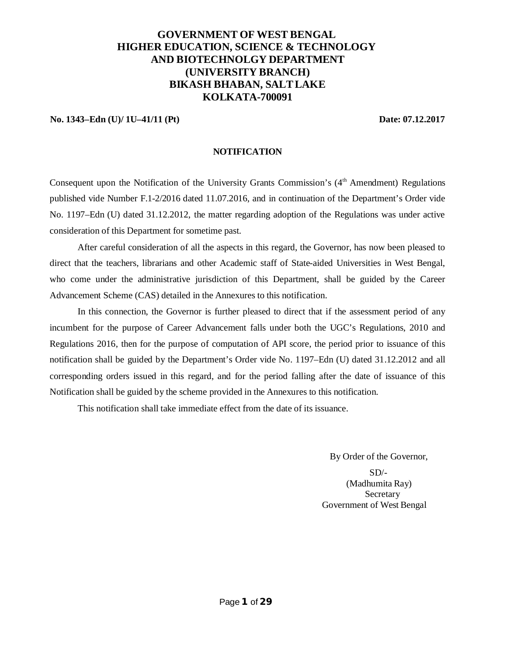# **GOVERNMENT OF WEST BENGAL HIGHER EDUCATION, SCIENCE & TECHNOLOGY AND BIOTECHNOLGY DEPARTMENT (UNIVERSITY BRANCH) BIKASH BHABAN, SALTLAKE KOLKATA-700091**

**No. 1343–Edn (U)/ 1U–41/11 (Pt) Date: 07.12.2017**

#### **NOTIFICATION**

Consequent upon the Notification of the University Grants Commission's (4<sup>th</sup> Amendment) Regulations published vide Number F.1-2/2016 dated 11.07.2016, and in continuation of the Department's Order vide No. 1197–Edn (U) dated 31.12.2012, the matter regarding adoption of the Regulations was under active consideration of this Department for sometime past.

After careful consideration of all the aspects in this regard, the Governor, has now been pleased to direct that the teachers, librarians and other Academic staff of State-aided Universities in West Bengal, who come under the administrative jurisdiction of this Department, shall be guided by the Career Advancement Scheme (CAS) detailed in the Annexures to this notification.

In this connection, the Governor is further pleased to direct that if the assessment period of any incumbent for the purpose of Career Advancement falls under both the UGC's Regulations, 2010 and Regulations 2016, then for the purpose of computation of API score, the period prior to issuance of this notification shall be guided by the Department's Order vide No. 1197–Edn (U) dated 31.12.2012 and all corresponding orders issued in this regard, and for the period falling after the date of issuance of this Notification shall be guided by the scheme provided in the Annexures to this notification.

This notification shall take immediate effect from the date of its issuance.

By Order of the Governor,

 $SD/-$ (Madhumita Ray) **Secretary** Government of West Bengal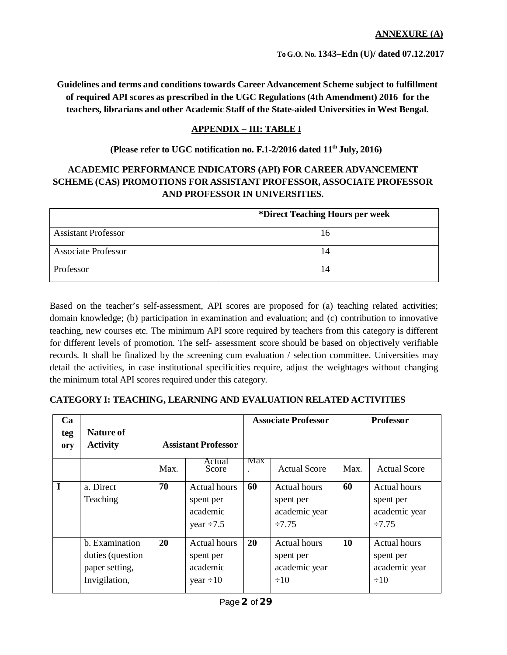**To G.O. No. 1343–Edn (U)/ dated 07.12.2017**

**Guidelines and terms and conditions towards Career Advancement Scheme subject to fulfillment of required API scores as prescribed in the UGC Regulations (4th Amendment) 2016 for the teachers, librarians and other Academic Staff of the State-aided Universities in West Bengal.**

# **APPENDIX – III: TABLE I**

## **(Please refer to UGC notification no. F.1-2/2016 dated 11th July, 2016)**

# **ACADEMIC PERFORMANCE INDICATORS (API) FOR CAREER ADVANCEMENT SCHEME (CAS) PROMOTIONS FOR ASSISTANT PROFESSOR, ASSOCIATE PROFESSOR AND PROFESSOR IN UNIVERSITIES.**

|                            | *Direct Teaching Hours per week |
|----------------------------|---------------------------------|
| <b>Assistant Professor</b> | Iб                              |
| <b>Associate Professor</b> |                                 |
| Professor                  |                                 |

Based on the teacher's self-assessment, API scores are proposed for (a) teaching related activities; domain knowledge; (b) participation in examination and evaluation; and (c) contribution to innovative teaching, new courses etc. The minimum API score required by teachers from this category is different for different levels of promotion. The self- assessment score should be based on objectively verifiable records. It shall be finalized by the screening cum evaluation / selection committee. Universities may detail the activities, in case institutional specificities require, adjust the weightages without changing the minimum total API scores required under this category.

# **CATEGORY I: TEACHING, LEARNING AND EVALUATION RELATED ACTIVITIES**

| Ca<br>teg<br>ory | <b>Nature of</b><br><b>Activity</b>                                   | <b>Assistant Professor</b> |                                                                 | <b>Associate Professor</b> |                                                                  | <b>Professor</b> |                                                                  |
|------------------|-----------------------------------------------------------------------|----------------------------|-----------------------------------------------------------------|----------------------------|------------------------------------------------------------------|------------------|------------------------------------------------------------------|
|                  |                                                                       | Max.                       | Actual<br>Score                                                 | Max                        | <b>Actual Score</b>                                              | Max.             | <b>Actual Score</b>                                              |
| I                | a. Direct<br>Teaching                                                 | 70                         | <b>Actual hours</b><br>spent per<br>academic<br>year $\div 7.5$ | 60                         | <b>Actual hours</b><br>spent per<br>academic year<br>$\div 7.75$ | 60               | <b>Actual hours</b><br>spent per<br>academic year<br>$\div 7.75$ |
|                  | b. Examination<br>duties (question<br>paper setting,<br>Invigilation, | 20                         | <b>Actual hours</b><br>spent per<br>academic<br>year $\div 10$  | 20                         | <b>Actual hours</b><br>spent per<br>academic year<br>$\div 10$   | 10               | <b>Actual hours</b><br>spent per<br>academic year<br>$\div 10$   |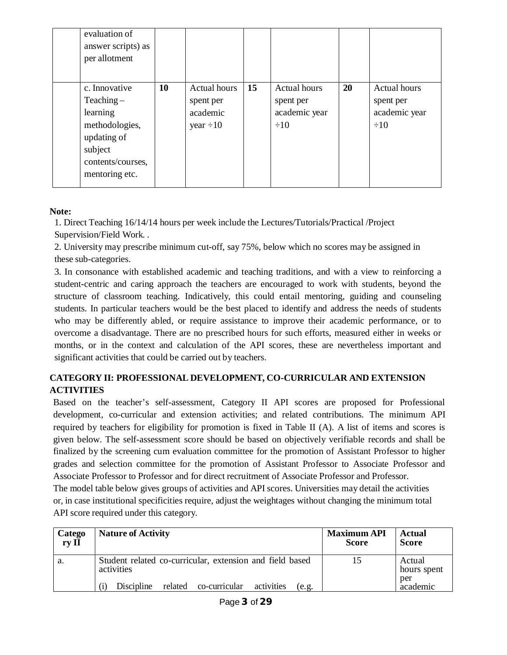| evaluation of<br>answer scripts) as<br>per allotment                                                                         |    |                                                                |    |                                                                |    |                                                                |
|------------------------------------------------------------------------------------------------------------------------------|----|----------------------------------------------------------------|----|----------------------------------------------------------------|----|----------------------------------------------------------------|
| c. Innovative<br>$Teaching -$<br>learning<br>methodologies,<br>updating of<br>subject<br>contents/courses,<br>mentoring etc. | 10 | <b>Actual hours</b><br>spent per<br>academic<br>year $\div 10$ | 15 | <b>Actual hours</b><br>spent per<br>academic year<br>$\div 10$ | 20 | <b>Actual hours</b><br>spent per<br>academic year<br>$\div 10$ |

# **Note:**

1. Direct Teaching 16/14/14 hours per week include the Lectures/Tutorials/Practical /Project Supervision/Field Work. .

2. University may prescribe minimum cut-off, say 75%, below which no scores may be assigned in these sub-categories.

3. In consonance with established academic and teaching traditions, and with a view to reinforcing a student-centric and caring approach the teachers are encouraged to work with students, beyond the structure of classroom teaching. Indicatively, this could entail mentoring, guiding and counseling students. In particular teachers would be the best placed to identify and address the needs of students who may be differently abled, or require assistance to improve their academic performance, or to overcome a disadvantage. There are no prescribed hours for such efforts, measured either in weeks or months, or in the context and calculation of the API scores, these are nevertheless important and significant activities that could be carried out by teachers.

# **CATEGORY II: PROFESSIONAL DEVELOPMENT, CO-CURRICULAR AND EXTENSION ACTIVITIES**

Based on the teacher's self-assessment, Category II API scores are proposed for Professional development, co-curricular and extension activities; and related contributions. The minimum API required by teachers for eligibility for promotion is fixed in Table II (A). A list of items and scores is given below. The self-assessment score should be based on objectively verifiable records and shall be finalized by the screening cum evaluation committee for the promotion of Assistant Professor to higher grades and selection committee for the promotion of Assistant Professor to Associate Professor and Associate Professor to Professor and for direct recruitment of Associate Professor and Professor.

The model table below gives groups of activities and API scores. Universities may detail the activities or, in case institutional specificities require, adjust the weightages without changing the minimum total API score required under this category.

| Catego | <b>Nature of Activity</b>                                                                                                           | <b>Maximum API</b> | Actual                                   |
|--------|-------------------------------------------------------------------------------------------------------------------------------------|--------------------|------------------------------------------|
| ry II  |                                                                                                                                     | <b>Score</b>       | <b>Score</b>                             |
| a.     | Student related co-curricular, extension and field based<br>activities<br>Discipline<br>related co-curricular<br>activities<br>e.g. |                    | Actual<br>hours spent<br>per<br>academic |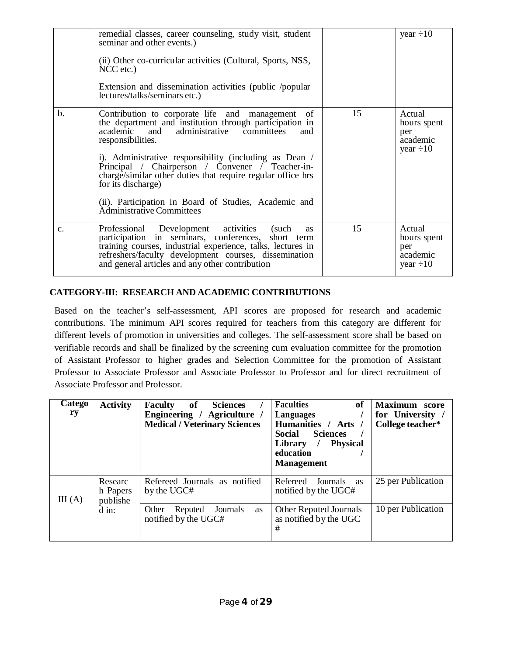|                | remedial classes, career counseling, study visit, student<br>seminar and other events.)<br>(ii) Other co-curricular activities (Cultural, Sports, NSS,<br>$NCC$ etc.)<br>Extension and dissemination activities (public /popular<br>lectures/talks/seminars etc.)                                                                                                                                                                                                                             |    | year $\div 10$                                             |
|----------------|-----------------------------------------------------------------------------------------------------------------------------------------------------------------------------------------------------------------------------------------------------------------------------------------------------------------------------------------------------------------------------------------------------------------------------------------------------------------------------------------------|----|------------------------------------------------------------|
| $\mathbf{b}$ . | Contribution to corporate life and<br>of<br>management<br>the department and institution through participation in<br>and<br>administrative committees<br>academic<br>and<br>responsibilities.<br>i). Administrative responsibility (including as Dean /<br>Principal / Chairperson / Convener / Teacher-in-<br>charge/similar other duties that require regular office hrs<br>for its discharge)<br>(ii). Participation in Board of Studies, Academic and<br><b>Administrative Committees</b> | 15 | Actual<br>hours spent<br>per<br>academic<br>year $\div 10$ |
| $\mathbf{c}$ . | Professional Development activities<br>(such<br><b>as</b><br>participation in seminars, conferences, short term<br>training courses, industrial experience, talks, lectures in<br>refreshers/faculty development courses, dissemination<br>and general articles and any other contribution                                                                                                                                                                                                    | 15 | Actual<br>hours spent<br>per<br>academic<br>year $\div 10$ |

# **CATEGORY-III: RESEARCH AND ACADEMIC CONTRIBUTIONS**

Based on the teacher's self-assessment, API scores are proposed for research and academic contributions. The minimum API scores required for teachers from this category are different for different levels of promotion in universities and colleges. The self-assessment score shall be based on verifiable records and shall be finalized by the screening cum evaluation committee for the promotion of Assistant Professor to higher grades and Selection Committee for the promotion of Assistant Professor to Associate Professor and Associate Professor to Professor and for direct recruitment of Associate Professor and Professor.

| $\sqrt{ \text{at}}$ ego<br>ry | <b>Activity</b>                 | of<br><b>Sciences</b><br>Faculty<br>Engineering / Agriculture /<br><b>Medical / Veterinary Sciences</b> | <b>Faculties</b><br>of<br>Languages<br>Humanities / Arts /<br><b>Social</b><br><b>Sciences</b><br><b>Physical</b><br>Library<br>$\sqrt{ }$<br>education<br><b>Management</b> | <b>Maximum</b> score<br>for University<br>College teacher* |
|-------------------------------|---------------------------------|---------------------------------------------------------------------------------------------------------|------------------------------------------------------------------------------------------------------------------------------------------------------------------------------|------------------------------------------------------------|
| III(A)                        | Researc<br>h Papers<br>publishe | Refereed Journals as notified<br>by the UGC#                                                            | Refereed<br>Journals as<br>notified by the UGC#                                                                                                                              | 25 per Publication                                         |
|                               | $\overline{d}$ in:              | Other<br>Journals<br>Reputed<br><b>as</b><br>notified by the UGC#                                       | <b>Other Reputed Journals</b><br>as notified by the UGC<br>#                                                                                                                 | 10 per Publication                                         |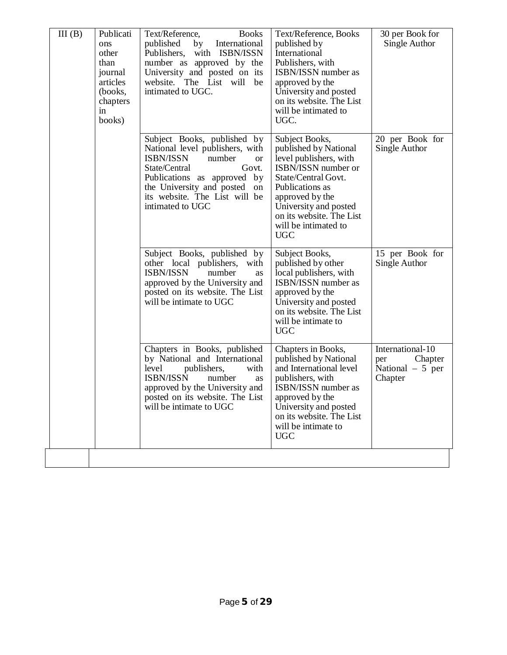| III(B) | Publicati<br>ons<br>other<br>than<br>journal<br>articles<br>(books,<br>chapters<br>in<br>books) | <b>Books</b><br>Text/Reference,<br>International<br>published<br>by<br>Publishers,<br>with ISBN/ISSN<br>number as approved by the<br>University and posted on its<br>website. The List will<br>be<br>intimated to UGC.                                  | Text/Reference, Books<br>published by<br>International<br>Publishers, with<br>ISBN/ISSN number as<br>approved by the<br>University and posted<br>on its website. The List<br>will be intimated to<br>UGC.                                        | 30 per Book for<br>Single Author                                   |
|--------|-------------------------------------------------------------------------------------------------|---------------------------------------------------------------------------------------------------------------------------------------------------------------------------------------------------------------------------------------------------------|--------------------------------------------------------------------------------------------------------------------------------------------------------------------------------------------------------------------------------------------------|--------------------------------------------------------------------|
|        |                                                                                                 | Subject Books, published by<br>National level publishers, with<br><b>ISBN/ISSN</b><br>number<br><b>or</b><br>State/Central<br>Govt.<br>Publications as approved by<br>the University and posted on<br>its website. The List will be<br>intimated to UGC | Subject Books,<br>published by National<br>level publishers, with<br>ISBN/ISSN number or<br>State/Central Govt.<br>Publications as<br>approved by the<br>University and posted<br>on its website. The List<br>will be intimated to<br><b>UGC</b> | 20 per Book for<br>Single Author                                   |
|        |                                                                                                 | Subject Books, published by<br>other local publishers,<br>with<br><b>ISBN/ISSN</b><br>number<br><b>as</b><br>approved by the University and<br>posted on its website. The List<br>will be intimate to UGC                                               | Subject Books,<br>published by other<br>local publishers, with<br>ISBN/ISSN number as<br>approved by the<br>University and posted<br>on its website. The List<br>will be intimate to<br><b>UGC</b>                                               | 15 per Book for<br>Single Author                                   |
|        |                                                                                                 | Chapters in Books, published<br>by National and International<br>level<br>publishers,<br>with<br>ISBN/ISSN<br>number<br>as<br>approved by the University and<br>posted on its website. The List<br>will be intimate to UGC                              | Chapters in Books,<br>published by National<br>and International level<br>publishers, with<br>ISBN/ISSN number as<br>approved by the<br>University and posted<br>on its website. The List<br>will be intimate to<br><b>UGC</b>                   | International-10<br>Chapter<br>per<br>National $-5$ per<br>Chapter |
|        |                                                                                                 |                                                                                                                                                                                                                                                         |                                                                                                                                                                                                                                                  |                                                                    |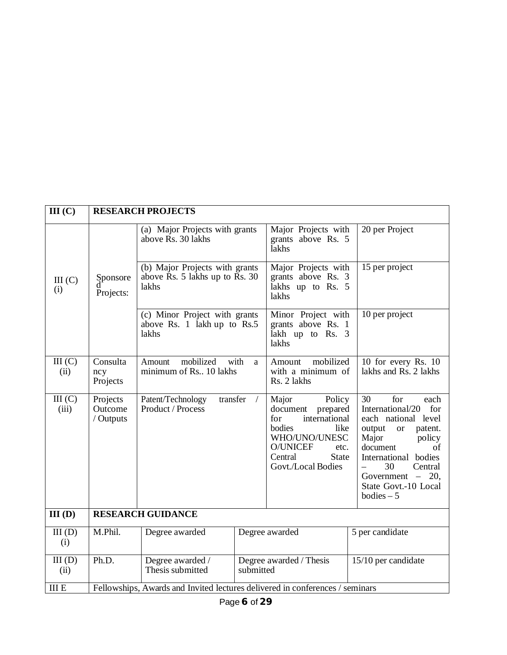| III(C)          |                                                                              | <b>RESEARCH PROJECTS</b>                                                                              |           |                                                                                                                                                                      |                                                                                                                                                                                                                                                              |
|-----------------|------------------------------------------------------------------------------|-------------------------------------------------------------------------------------------------------|-----------|----------------------------------------------------------------------------------------------------------------------------------------------------------------------|--------------------------------------------------------------------------------------------------------------------------------------------------------------------------------------------------------------------------------------------------------------|
|                 |                                                                              | (a) Major Projects with grants<br>above Rs. 30 lakhs                                                  |           | Major Projects with<br>grants above Rs. 5<br>lakhs                                                                                                                   | 20 per Project                                                                                                                                                                                                                                               |
| III (C)<br>(i)  | Sponsore<br>Projects:                                                        | (b) Major Projects with grants<br>above $\overline{R}$ s. 5 lakhs up to $\overline{R}$ s. 30<br>lakhs |           | Major Projects with<br>grants above Rs. 3<br>lakhs up to Rs. 5<br>lakhs                                                                                              | 15 per project                                                                                                                                                                                                                                               |
|                 |                                                                              | (c) Minor Project with grants<br>above Rs. 1 lakh up to Rs.5<br>lakhs                                 |           | Minor Project with<br>grants above Rs. 1<br>lakh up to Rs. 3<br>lakhs                                                                                                | 10 per project                                                                                                                                                                                                                                               |
| III(C)<br>(ii)  | Consulta<br>ncy<br>Projects                                                  | mobilized<br>with<br>Amount<br>a<br>minimum of Rs 10 lakhs                                            |           | mobilized<br>Amount<br>with a minimum of<br>Rs. 2 lakhs                                                                                                              | 10 for every Rs. 10<br>lakhs and Rs. 2 lakhs                                                                                                                                                                                                                 |
| III(C)<br>(iii) | Projects<br>Outcome<br>/ Outputs                                             | transfer<br>Patent/Technology<br>$\sqrt{ }$<br>Product / Process                                      |           | Major<br>Policy<br>document prepared<br>international<br>for<br>bodies<br>like<br>WHO/UNO/UNESC<br>O/UNICEF<br>etc.<br>Central<br><b>State</b><br>Govt./Local Bodies | 30<br>for<br>each<br>International/20<br>for<br>each national level<br>output<br><b>or</b><br>patent.<br>Major<br>policy<br>document<br>οf<br>International bodies<br>30<br>$\equiv$<br>Central<br>Government $-20$ ,<br>State Govt.-10 Local<br>bodies $-5$ |
| $III$ $(D)$     | <b>RESEARCH GUIDANCE</b>                                                     |                                                                                                       |           |                                                                                                                                                                      |                                                                                                                                                                                                                                                              |
| III(D)<br>(i)   | M.Phil.                                                                      | Degree awarded                                                                                        |           | Degree awarded                                                                                                                                                       | 5 per candidate                                                                                                                                                                                                                                              |
| III(D)<br>(ii)  | Ph.D.                                                                        | Degree awarded /<br>Thesis submitted                                                                  | submitted | Degree awarded / Thesis                                                                                                                                              | 15/10 per candidate                                                                                                                                                                                                                                          |
| <b>III E</b>    | Fellowships, Awards and Invited lectures delivered in conferences / seminars |                                                                                                       |           |                                                                                                                                                                      |                                                                                                                                                                                                                                                              |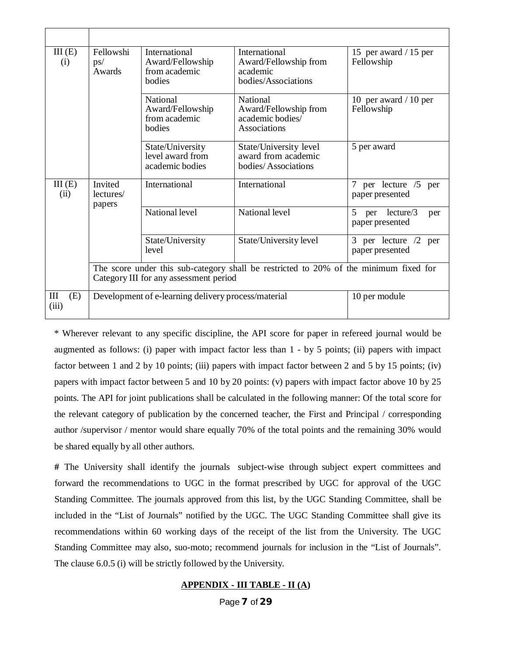| III(E)<br>(i)     | Fellowshi<br><b>International</b><br>Award/Fellowship<br>ps/<br>Awards<br>from academic<br>bodies                               |                                                                | <b>International</b><br>Award/Fellowship from<br>academic<br>bodies/Associations | 15 per award / 15 per<br>Fellowship             |  |
|-------------------|---------------------------------------------------------------------------------------------------------------------------------|----------------------------------------------------------------|----------------------------------------------------------------------------------|-------------------------------------------------|--|
|                   |                                                                                                                                 | <b>National</b><br>Award/Fellowship<br>from academic<br>bodies | <b>National</b><br>Award/Fellowship from<br>academic bodies/<br>Associations     | 10 per award $/ 10$ per<br>Fellowship           |  |
|                   |                                                                                                                                 | State/University<br>level award from<br>academic bodies        | State/University level<br>award from academic<br>bodies/Associations             | 5 per award                                     |  |
| III(E)<br>(ii)    | Invited<br>lectures/<br>papers                                                                                                  | International                                                  | International                                                                    | per lecture /5<br>7<br>per<br>paper presented   |  |
|                   |                                                                                                                                 | National level                                                 | National level                                                                   | 5<br>lecture/3<br>per<br>per<br>paper presented |  |
|                   |                                                                                                                                 | State/University<br>level                                      | State/University level                                                           | 3 per lecture $/2$<br>per<br>paper presented    |  |
|                   | The score under this sub-category shall be restricted to 20% of the minimum fixed for<br>Category III for any assessment period |                                                                |                                                                                  |                                                 |  |
| Ш<br>(E)<br>(iii) |                                                                                                                                 | Development of e-learning delivery process/material            |                                                                                  | 10 per module                                   |  |

\* Wherever relevant to any specific discipline, the API score for paper in refereed journal would be augmented as follows: (i) paper with impact factor less than 1 - by 5 points; (ii) papers with impact factor between 1 and 2 by 10 points; (iii) papers with impact factor between 2 and 5 by 15 points; (iv) papers with impact factor between 5 and 10 by 20 points: (v) papers with impact factor above 10 by 25 points. The API for joint publications shall be calculated in the following manner: Of the total score for the relevant category of publication by the concerned teacher, the First and Principal / corresponding author /supervisor / mentor would share equally 70% of the total points and the remaining 30% would be shared equally by all other authors.

**#** The University shall identify the journals subject-wise through subject expert committees and forward the recommendations to UGC in the format prescribed by UGC for approval of the UGC Standing Committee. The journals approved from this list, by the UGC Standing Committee, shall be included in the "List of Journals" notified by the UGC. The UGC Standing Committee shall give its recommendations within 60 working days of the receipt of the list from the University. The UGC Standing Committee may also, suo-moto; recommend journals for inclusion in the "List of Journals". The clause 6.0.5 (i) will be strictly followed by the University.

#### **APPENDIX - III TABLE - II (A)**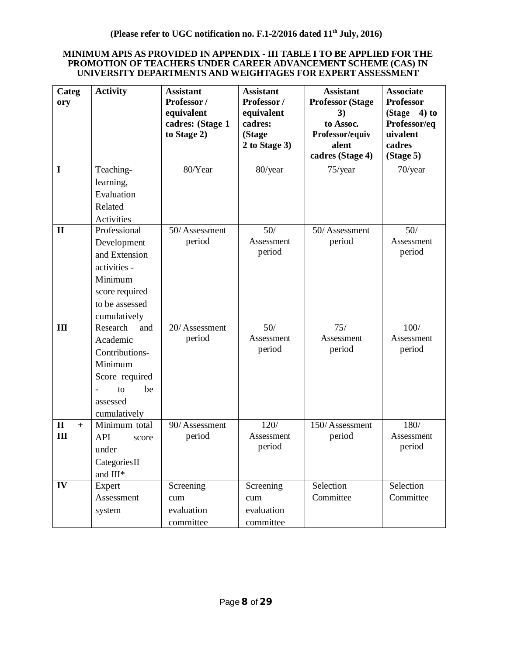#### **MINIMUM APIS AS PROVIDED IN APPENDIX - III TABLE I TO BE APPLIED FOR THE PROMOTION OF TEACHERS UNDER CAREER ADVANCEMENT SCHEME (CAS) IN UNIVERSITY DEPARTMENTS AND WEIGHTAGES FOR EXPERT ASSESSMENT**

| Categ<br>ory        | <b>Activity</b>                 | <b>Assistant</b><br>Professor/<br>equivalent<br>cadres: (Stage 1<br>to Stage 2) | <b>Assistant</b><br>Professor/<br>equivalent<br>cadres:<br>(Stage<br>2 to Stage 3) | <b>Assistant</b><br><b>Professor (Stage</b><br>3)<br>to Assoc.<br>Professor/equiv<br>alent<br>cadres (Stage 4) | <b>Associate</b><br><b>Professor</b><br>(Stage<br>$4)$ to<br>Professor/eq<br>uivalent<br>cadres<br>(Stage 5) |
|---------------------|---------------------------------|---------------------------------------------------------------------------------|------------------------------------------------------------------------------------|----------------------------------------------------------------------------------------------------------------|--------------------------------------------------------------------------------------------------------------|
| $\mathbf I$         | Teaching-                       | 80/Year                                                                         | 80/year                                                                            | $75$ /year                                                                                                     | 70/year                                                                                                      |
|                     | learning,                       |                                                                                 |                                                                                    |                                                                                                                |                                                                                                              |
|                     | Evaluation                      |                                                                                 |                                                                                    |                                                                                                                |                                                                                                              |
|                     | Related                         |                                                                                 |                                                                                    |                                                                                                                |                                                                                                              |
|                     | Activities                      |                                                                                 |                                                                                    |                                                                                                                |                                                                                                              |
| $\mathbf{I}$        | Professional                    | 50/Assessment                                                                   | 50/                                                                                | 50/Assessment                                                                                                  | 50/                                                                                                          |
|                     | Development                     | period                                                                          | Assessment<br>period                                                               | period                                                                                                         | Assessment<br>period                                                                                         |
|                     | and Extension                   |                                                                                 |                                                                                    |                                                                                                                |                                                                                                              |
|                     | activities -                    |                                                                                 |                                                                                    |                                                                                                                |                                                                                                              |
|                     | Minimum                         |                                                                                 |                                                                                    |                                                                                                                |                                                                                                              |
|                     | score required                  |                                                                                 |                                                                                    |                                                                                                                |                                                                                                              |
|                     | to be assessed                  |                                                                                 |                                                                                    |                                                                                                                |                                                                                                              |
| III                 | cumulatively<br>Research<br>and | 20/Assessment                                                                   | 50/                                                                                | 75/                                                                                                            | 100/                                                                                                         |
|                     | Academic                        | period                                                                          | Assessment                                                                         | Assessment                                                                                                     | Assessment                                                                                                   |
|                     | Contributions-                  |                                                                                 | period                                                                             | period                                                                                                         | period                                                                                                       |
|                     | Minimum                         |                                                                                 |                                                                                    |                                                                                                                |                                                                                                              |
|                     | Score required                  |                                                                                 |                                                                                    |                                                                                                                |                                                                                                              |
|                     | to<br>be                        |                                                                                 |                                                                                    |                                                                                                                |                                                                                                              |
|                     | assessed                        |                                                                                 |                                                                                    |                                                                                                                |                                                                                                              |
|                     | cumulatively                    |                                                                                 |                                                                                    |                                                                                                                |                                                                                                              |
| $\mathbf{I}$<br>$+$ | Minimum total                   | 90/Assessment                                                                   | 120/                                                                               | 150/Assessment                                                                                                 | 180/                                                                                                         |
| III                 | <b>API</b><br>score             | period                                                                          | Assessment                                                                         | period                                                                                                         | Assessment                                                                                                   |
|                     | under                           |                                                                                 | period                                                                             |                                                                                                                | period                                                                                                       |
|                     | Categories II                   |                                                                                 |                                                                                    |                                                                                                                |                                                                                                              |
|                     | and III*                        |                                                                                 |                                                                                    |                                                                                                                |                                                                                                              |
| IV                  | Expert                          | Screening                                                                       | Screening                                                                          | Selection                                                                                                      | Selection                                                                                                    |
|                     | Assessment                      | cum                                                                             | cum                                                                                | Committee                                                                                                      | Committee                                                                                                    |
|                     | system                          | evaluation                                                                      | evaluation                                                                         |                                                                                                                |                                                                                                              |
|                     |                                 | committee                                                                       | committee                                                                          |                                                                                                                |                                                                                                              |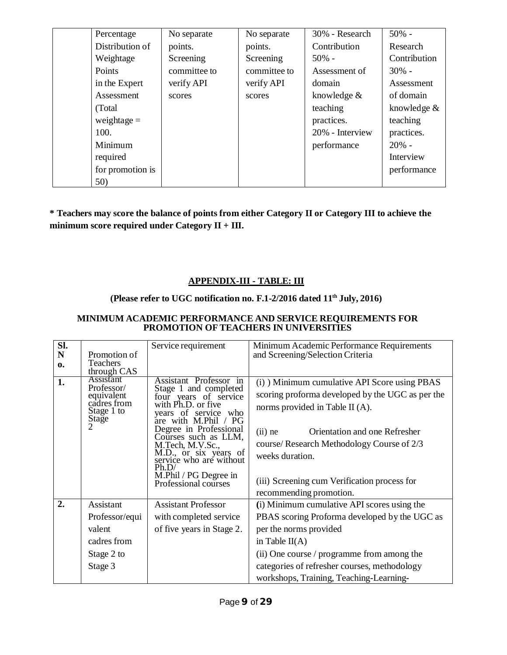| Percentage       | No separate  | No separate  | 30% - Research  | $50%$ -      |
|------------------|--------------|--------------|-----------------|--------------|
| Distribution of  | points.      | points.      | Contribution    | Research     |
| Weightage        | Screening    | Screening    | $50\%$ -        | Contribution |
| Points           | committee to | committee to | Assessment of   | $30\%$ -     |
| in the Expert    | verify API   | verify API   | domain          | Assessment   |
| Assessment       | scores       | scores       | knowledge &     | of domain    |
| (Total)          |              |              | teaching        | knowledge &  |
| weightage $=$    |              |              | practices.      | teaching     |
| 100.             |              |              | 20% - Interview | practices.   |
| Minimum          |              |              | performance     | $20% -$      |
| required         |              |              |                 | Interview    |
| for promotion is |              |              |                 | performance  |
| 50)              |              |              |                 |              |

**\* Teachers may score the balance of points from either Category II or Category III to achieve the minimum score required under Category II + III.**

# **APPENDIX-III - TABLE: III**

# **(Please refer to UGC notification no. F.1-2/2016 dated 11th July, 2016)**

## **MINIMUM ACADEMIC PERFORMANCE AND SERVICE REQUIREMENTS FOR PROMOTION OF TEACHERS IN UNIVERSITIES**

| SI. |                                                                                    | Service requirement                                                                                                                                                                                                                                                                                                                | Minimum Academic Performance Requirements                                                                                                                                                                                                                                                                                    |
|-----|------------------------------------------------------------------------------------|------------------------------------------------------------------------------------------------------------------------------------------------------------------------------------------------------------------------------------------------------------------------------------------------------------------------------------|------------------------------------------------------------------------------------------------------------------------------------------------------------------------------------------------------------------------------------------------------------------------------------------------------------------------------|
| N   | Promotion of                                                                       |                                                                                                                                                                                                                                                                                                                                    | and Screening/Selection Criteria                                                                                                                                                                                                                                                                                             |
| 0.  | Teachers<br>through CAS                                                            |                                                                                                                                                                                                                                                                                                                                    |                                                                                                                                                                                                                                                                                                                              |
| 1.  | <b>Assistant</b><br>Professor/<br>equivalent<br>cadres from<br>Stage 1 to<br>Stage | Assistant Professor in<br>Stage 1 and completed<br>four years of service<br>with Ph.D. or five<br>years of service who<br>are with M.Phil / PG<br>Degree in Professional<br>Courses such as LLM,<br>M.Tech, M.V.Sc.,<br>M.D., or six years of<br>service who are without<br>Ph.D/<br>M.Phil / PG Degree in<br>Professional courses | (i) Minimum cumulative API Score using PBAS<br>scoring proforma developed by the UGC as per the<br>norms provided in Table II (A).<br>Orientation and one Refresher<br>$(ii)$ ne<br>course/ Research Methodology Course of 2/3<br>weeks duration.<br>(iii) Screening cum Verification process for<br>recommending promotion. |
| 2.  | Assistant                                                                          | <b>Assistant Professor</b>                                                                                                                                                                                                                                                                                                         | (i) Minimum cumulative API scores using the                                                                                                                                                                                                                                                                                  |
|     | Professor/equi                                                                     | with completed service                                                                                                                                                                                                                                                                                                             | PBAS scoring Proforma developed by the UGC as                                                                                                                                                                                                                                                                                |
|     | valent                                                                             | of five years in Stage 2.                                                                                                                                                                                                                                                                                                          | per the norms provided                                                                                                                                                                                                                                                                                                       |
|     | cadres from                                                                        |                                                                                                                                                                                                                                                                                                                                    | in Table $II(A)$                                                                                                                                                                                                                                                                                                             |
|     | Stage 2 to                                                                         |                                                                                                                                                                                                                                                                                                                                    | (ii) One course / programme from among the                                                                                                                                                                                                                                                                                   |
|     | Stage 3                                                                            |                                                                                                                                                                                                                                                                                                                                    | categories of refresher courses, methodology                                                                                                                                                                                                                                                                                 |
|     |                                                                                    |                                                                                                                                                                                                                                                                                                                                    | workshops, Training, Teaching-Learning-                                                                                                                                                                                                                                                                                      |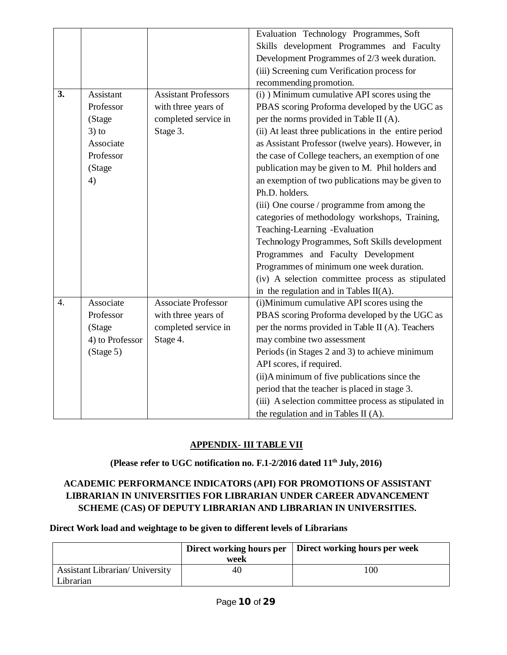|    |                 |                             | Evaluation Technology Programmes, Soft                |
|----|-----------------|-----------------------------|-------------------------------------------------------|
|    |                 |                             | Skills development Programmes and Faculty             |
|    |                 |                             | Development Programmes of 2/3 week duration.          |
|    |                 |                             | (iii) Screening cum Verification process for          |
|    |                 |                             | recommending promotion.                               |
| 3. | Assistant       | <b>Assistant Professors</b> | (i) ) Minimum cumulative API scores using the         |
|    | Professor       | with three years of         | PBAS scoring Proforma developed by the UGC as         |
|    | (Stage          | completed service in        | per the norms provided in Table II (A).               |
|    | $3)$ to         | Stage 3.                    | (ii) At least three publications in the entire period |
|    | Associate       |                             | as Assistant Professor (twelve years). However, in    |
|    | Professor       |                             | the case of College teachers, an exemption of one     |
|    | (Stage          |                             | publication may be given to M. Phil holders and       |
|    | 4)              |                             | an exemption of two publications may be given to      |
|    |                 |                             | Ph.D. holders.                                        |
|    |                 |                             | (iii) One course / programme from among the           |
|    |                 |                             | categories of methodology workshops, Training,        |
|    |                 |                             | Teaching-Learning -Evaluation                         |
|    |                 |                             | Technology Programmes, Soft Skills development        |
|    |                 |                             | Programmes and Faculty Development                    |
|    |                 |                             | Programmes of minimum one week duration.              |
|    |                 |                             | (iv) A selection committee process as stipulated      |
|    |                 |                             | in the regulation and in Tables $II(A)$ .             |
| 4. | Associate       | <b>Associate Professor</b>  | (i)Minimum cumulative API scores using the            |
|    | Professor       | with three years of         | PBAS scoring Proforma developed by the UGC as         |
|    | (Stage          | completed service in        | per the norms provided in Table II (A). Teachers      |
|    | 4) to Professor | Stage 4.                    | may combine two assessment                            |
|    | (Stage 5)       |                             | Periods (in Stages 2 and 3) to achieve minimum        |
|    |                 |                             | API scores, if required.                              |
|    |                 |                             | (ii) A minimum of five publications since the         |
|    |                 |                             | period that the teacher is placed in stage 3.         |
|    |                 |                             | (iii) A selection committee process as stipulated in  |
|    |                 |                             | the regulation and in Tables II (A).                  |

# **APPENDIX- III TABLE VII**

**(Please refer to UGC notification no. F.1-2/2016 dated 11th July, 2016)**

# **ACADEMIC PERFORMANCE INDICATORS (API) FOR PROMOTIONS OF ASSISTANT LIBRARIAN IN UNIVERSITIES FOR LIBRARIAN UNDER CAREER ADVANCEMENT SCHEME (CAS) OF DEPUTY LIBRARIAN AND LIBRARIAN IN UNIVERSITIES.**

**Direct Work load and weightage to be given to different levels of Librarians**

|                                                     | week | Direct working hours per   Direct working hours per week |
|-----------------------------------------------------|------|----------------------------------------------------------|
| <b>Assistant Librarian/ University</b><br>Librarian | 40   | l OC                                                     |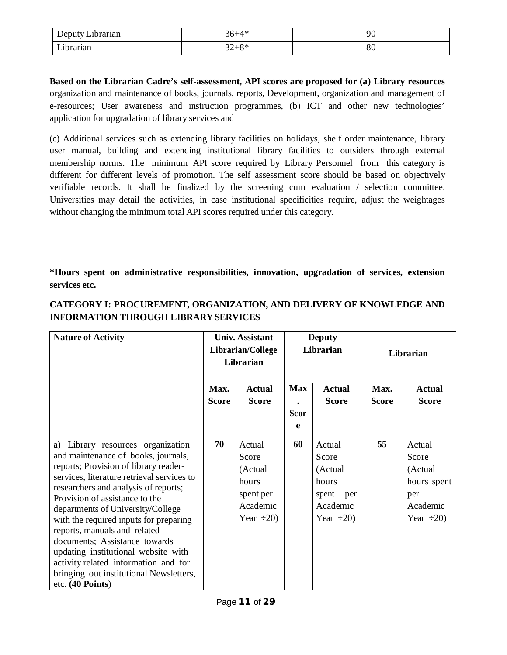| $\bullet$<br>$\overline{\phantom{a}}$<br>ubrarian<br>Jeputy<br>レーレ<br>__________ | $\Lambda$ *                        | M<br>, v |
|----------------------------------------------------------------------------------|------------------------------------|----------|
| $T$ $'1$<br>rarıan                                                               | O <sub>2</sub><br>$\cap$<br>ں ہے ت | ου       |

**Based on the Librarian Cadre's self-assessment, API scores are proposed for (a) Library resources** organization and maintenance of books, journals, reports, Development, organization and management of e-resources; User awareness and instruction programmes, (b) ICT and other new technologies' application for upgradation of library services and

(c) Additional services such as extending library facilities on holidays, shelf order maintenance, library user manual, building and extending institutional library facilities to outsiders through external membership norms. The minimum API score required by Library Personnel from this category is different for different levels of promotion. The self assessment score should be based on objectively verifiable records. It shall be finalized by the screening cum evaluation / selection committee. Universities may detail the activities, in case institutional specificities require, adjust the weightages without changing the minimum total API scores required under this category.

**\*Hours spent on administrative responsibilities, innovation, upgradation of services, extension services etc.**

| <b>Nature of Activity</b>                                                    | <b>Univ. Assistant</b><br>Librarian/College<br>Librarian |                               | <b>Deputy</b><br>Librarian |                               | Librarian            |                               |
|------------------------------------------------------------------------------|----------------------------------------------------------|-------------------------------|----------------------------|-------------------------------|----------------------|-------------------------------|
|                                                                              | Max.<br><b>Score</b>                                     | <b>Actual</b><br><b>Score</b> | <b>Max</b>                 | <b>Actual</b><br><b>Score</b> | Max.<br><b>Score</b> | <b>Actual</b><br><b>Score</b> |
|                                                                              |                                                          |                               | <b>Scor</b>                |                               |                      |                               |
|                                                                              |                                                          |                               | e                          |                               |                      |                               |
| a) Library resources organization                                            | 70                                                       | Actual                        | 60                         | Actual                        | 55                   | Actual                        |
| and maintenance of books, journals,<br>reports; Provision of library reader- |                                                          | Score                         |                            | Score                         |                      | Score                         |
| services, literature retrieval services to                                   |                                                          | (Actual                       |                            | (Actual                       |                      | (Actual                       |
| researchers and analysis of reports;                                         |                                                          | hours                         |                            | hours                         |                      | hours spent                   |
| Provision of assistance to the                                               |                                                          | spent per                     |                            | spent<br>per                  |                      | per                           |
| departments of University/College                                            |                                                          | Academic                      |                            | Academic                      |                      | Academic                      |
| with the required inputs for preparing<br>reports, manuals and related       |                                                          | Year $\div 20$ )              |                            | Year $\div 20$ )              |                      | Year $\div 20$ )              |
| documents; Assistance towards                                                |                                                          |                               |                            |                               |                      |                               |
| updating institutional website with                                          |                                                          |                               |                            |                               |                      |                               |
| activity related information and for                                         |                                                          |                               |                            |                               |                      |                               |
| bringing out institutional Newsletters,                                      |                                                          |                               |                            |                               |                      |                               |
| $etc. (40$ Points)                                                           |                                                          |                               |                            |                               |                      |                               |

# **CATEGORY I: PROCUREMENT, ORGANIZATION, AND DELIVERY OF KNOWLEDGE AND INFORMATION THROUGH LIBRARY SERVICES**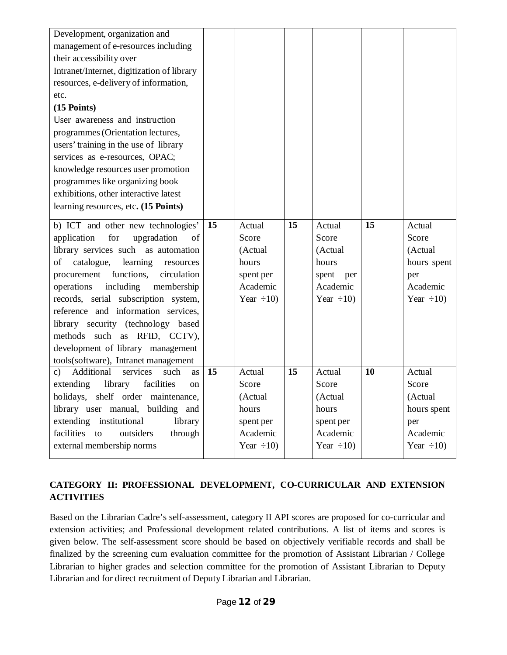| Development, organization and<br>management of e-resources including<br>their accessibility over<br>Intranet/Internet, digitization of library<br>resources, e-delivery of information,<br>etc.<br>$(15$ Points)<br>User awareness and instruction<br>programmes (Orientation lectures,<br>users' training in the use of library<br>services as e-resources, OPAC;<br>knowledge resources user promotion<br>programmes like organizing book<br>exhibitions, other interactive latest<br>learning resources, etc. (15 Points) |                 |                                                                                  |                 |                                                                                     |                 |                                                                                  |
|------------------------------------------------------------------------------------------------------------------------------------------------------------------------------------------------------------------------------------------------------------------------------------------------------------------------------------------------------------------------------------------------------------------------------------------------------------------------------------------------------------------------------|-----------------|----------------------------------------------------------------------------------|-----------------|-------------------------------------------------------------------------------------|-----------------|----------------------------------------------------------------------------------|
| b) ICT and other new technologies'<br>for<br>upgradation<br>application<br>of<br>library services such as automation<br>of<br>catalogue,<br>learning<br>resources<br>functions,<br>procurement<br>circulation<br>including<br>operations<br>membership<br>records, serial subscription system,<br>reference and information services,<br>library security (technology based<br>methods such as RFID, CCTV),<br>development of library management<br>tools(software), Intranet management                                     | 15              | Actual<br>Score<br>(Actual<br>hours<br>spent per<br>Academic<br>Year $\div 10$ ) | 15              | Actual<br>Score<br>(Actual<br>hours<br>spent<br>per<br>Academic<br>Year $\div 10$ ) | 15              | Actual<br>Score<br>(Actual<br>hours spent<br>per<br>Academic<br>Year $\div 10$ ) |
| c) Additional<br>services<br>such<br><b>as</b><br>extending<br>facilities<br>library<br>on<br>holidays, shelf order maintenance,<br>library user manual, building and<br>extending<br>institutional<br>library<br>facilities to<br>outsiders<br>through<br>external membership norms                                                                                                                                                                                                                                         | $\overline{15}$ | Actual<br>Score<br>(Actual<br>hours<br>spent per<br>Academic<br>Year $\div 10$ ) | $\overline{15}$ | Actual<br>Score<br>(Actual<br>hours<br>spent per<br>Academic<br>Year $\div 10$ )    | $\overline{10}$ | Actual<br>Score<br>(Actual<br>hours spent<br>per<br>Academic<br>Year $\div 10$ ) |

# **CATEGORY II: PROFESSIONAL DEVELOPMENT, CO-CURRICULAR AND EXTENSION ACTIVITIES**

Based on the Librarian Cadre's self-assessment, category II API scores are proposed for co-curricular and extension activities; and Professional development related contributions. A list of items and scores is given below. The self-assessment score should be based on objectively verifiable records and shall be finalized by the screening cum evaluation committee for the promotion of Assistant Librarian / College Librarian to higher grades and selection committee for the promotion of Assistant Librarian to Deputy Librarian and for direct recruitment of Deputy Librarian and Librarian.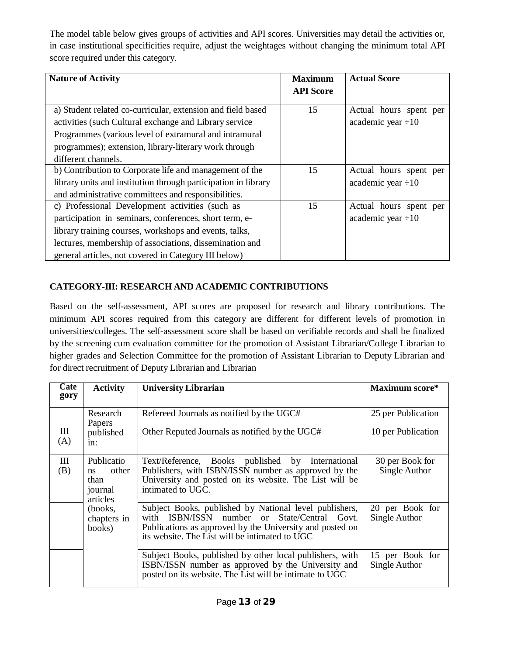The model table below gives groups of activities and API scores. Universities may detail the activities or, in case institutional specificities require, adjust the weightages without changing the minimum total API score required under this category.

| <b>Nature of Activity</b>                                                                                                                                                                                                                                                              | <b>Maximum</b><br><b>API Score</b> | <b>Actual Score</b>                               |
|----------------------------------------------------------------------------------------------------------------------------------------------------------------------------------------------------------------------------------------------------------------------------------------|------------------------------------|---------------------------------------------------|
| a) Student related co-curricular, extension and field based<br>activities (such Cultural exchange and Library service)<br>Programmes (various level of extramural and intramural<br>programmes); extension, library-literary work through<br>different channels.                       | 15                                 | Actual hours spent per<br>academic year $\div 10$ |
| b) Contribution to Corporate life and management of the<br>library units and institution through participation in library<br>and administrative committees and responsibilities.                                                                                                       | 15                                 | Actual hours spent per<br>academic year $\div 10$ |
| c) Professional Development activities (such as<br>participation in seminars, conferences, short term, e-<br>library training courses, workshops and events, talks,<br>lectures, membership of associations, dissemination and<br>general articles, not covered in Category III below) | 15                                 | Actual hours spent per<br>academic year $\div 10$ |

# **CATEGORY-III: RESEARCH AND ACADEMIC CONTRIBUTIONS**

Based on the self-assessment, API scores are proposed for research and library contributions. The minimum API scores required from this category are different for different levels of promotion in universities/colleges. The self-assessment score shall be based on verifiable records and shall be finalized by the screening cum evaluation committee for the promotion of Assistant Librarian/College Librarian to higher grades and Selection Committee for the promotion of Assistant Librarian to Deputy Librarian and for direct recruitment of Deputy Librarian and Librarian

| $\overline{\text{Cate}}$<br>gory | <b>Activity</b>                                          | <b>University Librarian</b>                                                                                                                                                                                             | Maximum score*                   |
|----------------------------------|----------------------------------------------------------|-------------------------------------------------------------------------------------------------------------------------------------------------------------------------------------------------------------------------|----------------------------------|
|                                  | Research<br>Papers                                       | Refereed Journals as notified by the UGC#                                                                                                                                                                               | 25 per Publication               |
| Ш<br>(A)                         | published<br>$1n$ :                                      | Other Reputed Journals as notified by the UGC#                                                                                                                                                                          | 10 per Publication               |
| Ш<br>(B)                         | Publicatio<br>other<br>ns<br>than<br>journal<br>articles | Text/Reference, Books published by International<br>Publishers, with ISBN/ISSN number as approved by the<br>University and posted on its website. The List will be<br>intimated to UGC.                                 | 30 per Book for<br>Single Author |
|                                  | (books,<br>chapters in<br>books)                         | Subject Books, published by National level publishers,<br>ISBN/ISSN number or State/Central Govt.<br>with<br>Publications as approved by the University and posted on<br>its website. The List will be intimated to UGC | 20 per Book for<br>Single Author |
|                                  |                                                          | Subject Books, published by other local publishers, with<br>ISBN/ISSN number as approved by the University and<br>posted on its website. The List will be intimate to UGC                                               | 15 per Book for<br>Single Author |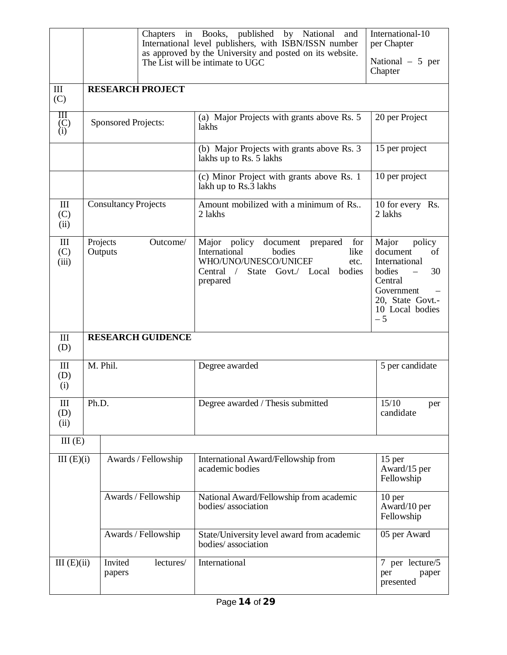|                                              |                                 | International-10<br>Chapters in Books, published<br>by National<br>and<br>International level publishers, with ISBN/ISSN number<br>per Chapter<br>as approved by the University and posted on its website.<br>National - 5 per<br>The List will be intimate to UGC<br>Chapter |                                                               |                                                                                                                                                                         |                                                                                                                                                                        |  |
|----------------------------------------------|---------------------------------|-------------------------------------------------------------------------------------------------------------------------------------------------------------------------------------------------------------------------------------------------------------------------------|---------------------------------------------------------------|-------------------------------------------------------------------------------------------------------------------------------------------------------------------------|------------------------------------------------------------------------------------------------------------------------------------------------------------------------|--|
| Ш<br>(C)                                     |                                 | <b>RESEARCH PROJECT</b>                                                                                                                                                                                                                                                       |                                                               |                                                                                                                                                                         |                                                                                                                                                                        |  |
| Ш<br>$\binom{C}{i}$                          |                                 | <b>Sponsored Projects:</b>                                                                                                                                                                                                                                                    |                                                               | (a) Major Projects with grants above Rs. 5<br>lakhs                                                                                                                     | 20 per Project                                                                                                                                                         |  |
|                                              |                                 |                                                                                                                                                                                                                                                                               |                                                               | (b) Major Projects with grants above Rs. 3<br>lakhs up to Rs. 5 lakhs                                                                                                   | 15 per project                                                                                                                                                         |  |
|                                              |                                 |                                                                                                                                                                                                                                                                               |                                                               | (c) Minor Project with grants above Rs. 1<br>lakh up to Rs.3 lakhs                                                                                                      | 10 per project                                                                                                                                                         |  |
| III<br>(C)<br>(ii)                           |                                 | <b>Consultancy Projects</b>                                                                                                                                                                                                                                                   |                                                               | Amount mobilized with a minimum of Rs<br>2 lakhs                                                                                                                        | 10 for every Rs.<br>2 lakhs                                                                                                                                            |  |
| III<br>(C)<br>(iii)                          | Outcome/<br>Projects<br>Outputs |                                                                                                                                                                                                                                                                               |                                                               | Major policy<br>document<br>prepared<br>for<br>International<br>bodies<br>like<br>WHO/UNO/UNESCO/UNICEF<br>etc.<br>State Govt./ Local bodies<br>Central $/$<br>prepared | Major<br>policy<br>document<br>of<br>International<br>30<br>bodies<br>$\overline{\phantom{0}}$<br>Central<br>Government<br>20, State Govt.-<br>10 Local bodies<br>$-5$ |  |
| III<br>(D)                                   |                                 |                                                                                                                                                                                                                                                                               | <b>RESEARCH GUIDENCE</b>                                      |                                                                                                                                                                         |                                                                                                                                                                        |  |
| III<br>(D)<br>(i)                            |                                 | M. Phil.                                                                                                                                                                                                                                                                      |                                                               | Degree awarded                                                                                                                                                          | 5 per candidate                                                                                                                                                        |  |
| III<br>(D)<br>(ii)                           | Ph.D.                           |                                                                                                                                                                                                                                                                               |                                                               | Degree awarded / Thesis submitted                                                                                                                                       | 15/10<br>per<br>candidate                                                                                                                                              |  |
| III(E)                                       |                                 |                                                                                                                                                                                                                                                                               |                                                               |                                                                                                                                                                         |                                                                                                                                                                        |  |
| III(E)(i)<br>Awards / Fellowship             |                                 |                                                                                                                                                                                                                                                                               | International Award/Fellowship from<br>academic bodies        | 15 per<br>Award/15 per<br>Fellowship                                                                                                                                    |                                                                                                                                                                        |  |
| Awards / Fellowship                          |                                 |                                                                                                                                                                                                                                                                               | National Award/Fellowship from academic<br>bodies/association | 10 <sub>per</sub><br>Award/10 per<br>Fellowship                                                                                                                         |                                                                                                                                                                        |  |
|                                              |                                 |                                                                                                                                                                                                                                                                               | Awards / Fellowship                                           | State/University level award from academic<br>bodies/association                                                                                                        | 05 per Award                                                                                                                                                           |  |
| III(E)(ii)<br>Invited<br>lectures/<br>papers |                                 |                                                                                                                                                                                                                                                                               | International                                                 | 7 per lecture/5<br>per<br>paper<br>presented                                                                                                                            |                                                                                                                                                                        |  |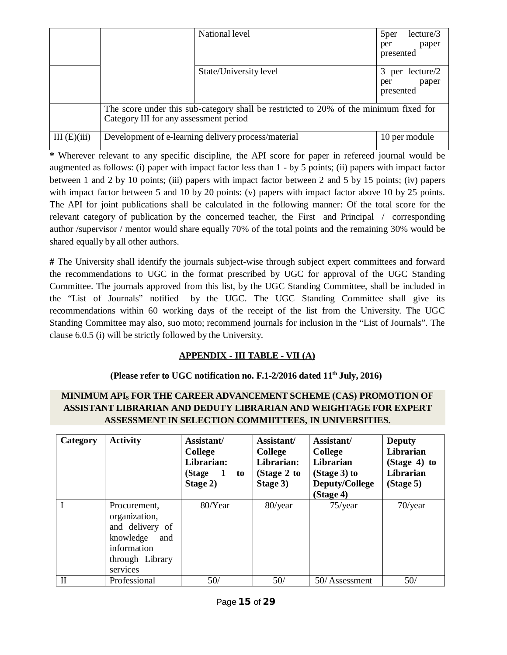|             |                                                                                                                                 | National level         | lecture/3<br>5 <sub>per</sub>                   |
|-------------|---------------------------------------------------------------------------------------------------------------------------------|------------------------|-------------------------------------------------|
|             |                                                                                                                                 |                        | paper<br>per<br>presented                       |
|             |                                                                                                                                 | State/University level | per lecture/2<br>3<br>paper<br>per<br>presented |
|             | The score under this sub-category shall be restricted to 20% of the minimum fixed for<br>Category III for any assessment period |                        |                                                 |
| III(E)(iii) | Development of e-learning delivery process/material<br>10 per module                                                            |                        |                                                 |

**\*** Wherever relevant to any specific discipline, the API score for paper in refereed journal would be augmented as follows: (i) paper with impact factor less than 1 - by 5 points; (ii) papers with impact factor between 1 and 2 by 10 points; (iii) papers with impact factor between 2 and 5 by 15 points; (iv) papers with impact factor between 5 and 10 by 20 points: (v) papers with impact factor above 10 by 25 points. The API for joint publications shall be calculated in the following manner: Of the total score for the relevant category of publication by the concerned teacher, the First and Principal / corresponding author /supervisor / mentor would share equally 70% of the total points and the remaining 30% would be shared equally by all other authors.

**#** The University shall identify the journals subject-wise through subject expert committees and forward the recommendations to UGC in the format prescribed by UGC for approval of the UGC Standing Committee. The journals approved from this list, by the UGC Standing Committee, shall be included in the "List of Journals" notified by the UGC. The UGC Standing Committee shall give its recommendations within 60 working days of the receipt of the list from the University. The UGC Standing Committee may also, suo moto; recommend journals for inclusion in the "List of Journals". The clause 6.0.5 (i) will be strictly followed by the University.

# **APPENDIX - III TABLE - VII (A)**

#### **(Please refer to UGC notification no. F.1-2/2016 dated 11th July, 2016)**

# **MINIMUM API<sup>S</sup> FOR THE CAREER ADVANCEMENT SCHEME (CAS) PROMOTION OF ASSISTANT LIBRARIAN AND DEDUTY LIBRARIAN AND WEIGHTAGE FOR EXPERT ASSESSMENT IN SELECTION COMMIITTEES, IN UNIVERSITIES.**

| Category     | <b>Activity</b>                                                                                                    | Assistant/<br><b>College</b><br>Librarian:<br>(Stage<br>$\mathbf{1}$<br>to<br>Stage 2) | Assistant/<br>College<br>Librarian:<br>(Stage $2$ to<br>Stage 3) | Assistant/<br><b>College</b><br>Librarian<br>(Stage 3) to<br>Deputy/College<br>(Stage 4) | <b>Deputy</b><br>Librarian<br>(Stage 4) to<br>Librarian<br>(Stage 5) |
|--------------|--------------------------------------------------------------------------------------------------------------------|----------------------------------------------------------------------------------------|------------------------------------------------------------------|------------------------------------------------------------------------------------------|----------------------------------------------------------------------|
|              | Procurement.<br>organization,<br>and delivery of<br>knowledge<br>and<br>information<br>through Library<br>services | 80/Year                                                                                | 80/year                                                          | $75$ /year                                                                               | $70$ /year                                                           |
| $\mathbf{I}$ | Professional                                                                                                       | 50/                                                                                    | 50/                                                              | 50/Assessment                                                                            | 50/                                                                  |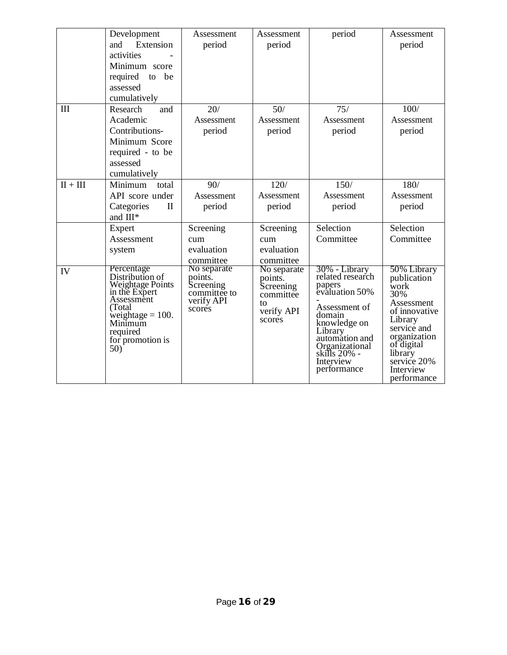|            | Development<br>Extension<br>and<br>activities<br>Minimum score<br>required<br>be<br>to<br>assessed<br>cumulatively                                                   | Assessment<br>period                                                        | Assessment<br>period                                                           | period                                                                                                                                                                                              | Assessment<br>period                                                                                                                                                                   |
|------------|----------------------------------------------------------------------------------------------------------------------------------------------------------------------|-----------------------------------------------------------------------------|--------------------------------------------------------------------------------|-----------------------------------------------------------------------------------------------------------------------------------------------------------------------------------------------------|----------------------------------------------------------------------------------------------------------------------------------------------------------------------------------------|
| III        | Research<br>and<br>Academic<br>Contributions-<br>Minimum Score<br>required - to be<br>assessed<br>cumulatively                                                       | 20/<br>Assessment<br>period                                                 | 50/<br>Assessment<br>period                                                    | 75/<br>Assessment<br>period                                                                                                                                                                         | 100/<br>Assessment<br>period                                                                                                                                                           |
| $II + III$ | Minimum<br>total<br>API score under<br>Categories<br>$\mathbf{I}$<br>and III*<br>Expert                                                                              | 90/<br>Assessment<br>period<br>Screening                                    | 120/<br>Assessment<br>period<br>Screening                                      | 150/<br>Assessment<br>period<br>Selection                                                                                                                                                           | 180/<br>Assessment<br>period<br>Selection                                                                                                                                              |
|            | Assessment<br>system                                                                                                                                                 | cum<br>evaluation<br>committee                                              | cum<br>evaluation<br>committee                                                 | Committee                                                                                                                                                                                           | Committee                                                                                                                                                                              |
| IV         | Percentage<br>Distribution of<br>Weightage Points<br>in the Expert<br>Assessment<br>(Total)<br>weightage $= 100$ .<br>Minimum<br>required<br>for promotion is<br>50) | No separate<br>points.<br>Screening<br>committée to<br>verify API<br>scores | No separate<br>points.<br>Screening<br>committee<br>to<br>verify API<br>scores | 30% - Library<br>related research<br>papers<br>evaluation 50%<br>Assessment of<br>domain<br>knowledge on<br>Library<br>automation and<br>Organizational<br>skills 20% -<br>Interview<br>performance | 50% Library<br>publication<br>work<br>30%<br>Assessment<br>of innovative<br>Library<br>service and<br>organization<br>of digital<br>library<br>service 20%<br>Interview<br>performance |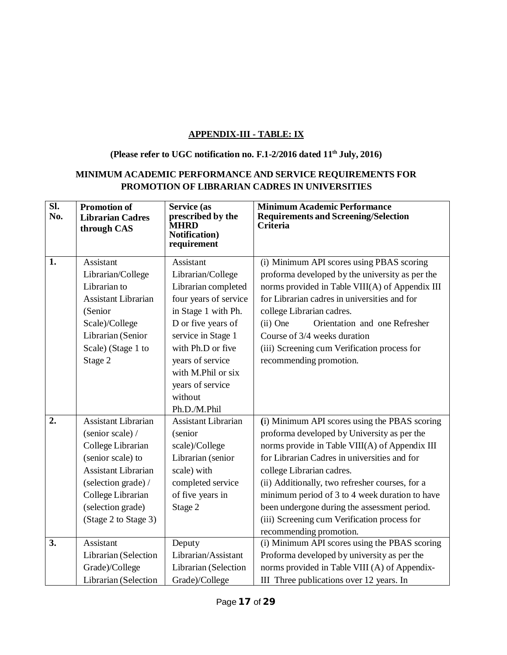# **APPENDIX-III - TABLE: IX**

## **(Please refer to UGC notification no. F.1-2/2016 dated 11th July, 2016)**

# **MINIMUM ACADEMIC PERFORMANCE AND SERVICE REQUIREMENTS FOR PROMOTION OF LIBRARIAN CADRES IN UNIVERSITIES**

| SI.<br>No. | <b>Promotion of</b><br><b>Librarian Cadres</b><br>through CAS                                                                                                                                            | Service (as<br>prescribed by the<br><b>MHRD</b><br><b>Notification</b> )<br>requirement                                                                                                                                                         | <b>Minimum Academic Performance</b><br><b>Requirements and Screening/Selection</b><br>Criteria                                                                                                                                                                                                                                                                                                                                                              |
|------------|----------------------------------------------------------------------------------------------------------------------------------------------------------------------------------------------------------|-------------------------------------------------------------------------------------------------------------------------------------------------------------------------------------------------------------------------------------------------|-------------------------------------------------------------------------------------------------------------------------------------------------------------------------------------------------------------------------------------------------------------------------------------------------------------------------------------------------------------------------------------------------------------------------------------------------------------|
| 1.         | Assistant<br>Librarian/College<br>Librarian to<br>Assistant Librarian<br>(Senior<br>Scale)/College<br>Librarian (Senior<br>Scale) (Stage 1 to<br>Stage 2                                                 | Assistant<br>Librarian/College<br>Librarian completed<br>four years of service<br>in Stage 1 with Ph.<br>D or five years of<br>service in Stage 1<br>with Ph.D or five<br>years of service<br>with M.Phil or six<br>years of service<br>without | (i) Minimum API scores using PBAS scoring<br>proforma developed by the university as per the<br>norms provided in Table VIII(A) of Appendix III<br>for Librarian cadres in universities and for<br>college Librarian cadres.<br>(ii) One<br>Orientation and one Refresher<br>Course of 3/4 weeks duration<br>(iii) Screening cum Verification process for<br>recommending promotion.                                                                        |
| 2.         | Assistant Librarian<br>(senior scale) /<br>College Librarian<br>(senior scale) to<br><b>Assistant Librarian</b><br>(selection grade) /<br>College Librarian<br>(selection grade)<br>(Stage 2 to Stage 3) | Ph.D./M.Phil<br><b>Assistant Librarian</b><br>(senior<br>scale)/College<br>Librarian (senior<br>scale) with<br>completed service<br>of five years in<br>Stage 2                                                                                 | (i) Minimum API scores using the PBAS scoring<br>proforma developed by University as per the<br>norms provide in Table VIII(A) of Appendix III<br>for Librarian Cadres in universities and for<br>college Librarian cadres.<br>(ii) Additionally, two refresher courses, for a<br>minimum period of 3 to 4 week duration to have<br>been undergone during the assessment period.<br>(iii) Screening cum Verification process for<br>recommending promotion. |
| 3.         | Assistant<br>Librarian (Selection<br>Grade)/College<br>Librarian (Selection                                                                                                                              | Deputy<br>Librarian/Assistant<br>Librarian (Selection<br>Grade)/College                                                                                                                                                                         | (i) Minimum API scores using the PBAS scoring<br>Proforma developed by university as per the<br>norms provided in Table VIII (A) of Appendix-<br>III Three publications over 12 years. In                                                                                                                                                                                                                                                                   |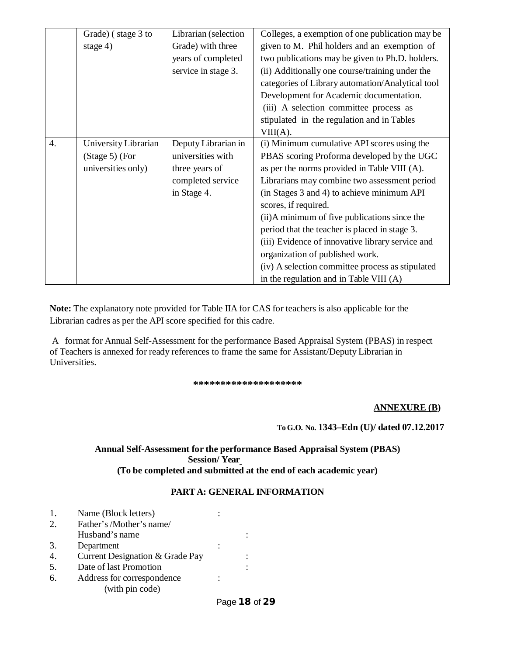|    | Grade) (stage 3 to   | Librarian (selection | Colleges, a exemption of one publication may be  |
|----|----------------------|----------------------|--------------------------------------------------|
|    | stage $4)$           | Grade) with three    | given to M. Phil holders and an exemption of     |
|    |                      | years of completed   | two publications may be given to Ph.D. holders.  |
|    |                      | service in stage 3.  | (ii) Additionally one course/training under the  |
|    |                      |                      | categories of Library automation/Analytical tool |
|    |                      |                      | Development for Academic documentation.          |
|    |                      |                      | (iii) A selection committee process as           |
|    |                      |                      | stipulated in the regulation and in Tables       |
|    |                      |                      | VIII(A).                                         |
| 4. | University Librarian | Deputy Librarian in  | (i) Minimum cumulative API scores using the      |
|    | (Stage 5) (For       | universities with    | PBAS scoring Proforma developed by the UGC       |
|    | universities only)   | three years of       | as per the norms provided in Table VIII (A).     |
|    |                      | completed service    | Librarians may combine two assessment period     |
|    |                      | in Stage 4.          | (in Stages 3 and 4) to achieve minimum API       |
|    |                      |                      | scores, if required.                             |
|    |                      |                      | (ii) A minimum of five publications since the    |
|    |                      |                      | period that the teacher is placed in stage 3.    |
|    |                      |                      | (iii) Evidence of innovative library service and |
|    |                      |                      | organization of published work.                  |
|    |                      |                      | (iv) A selection committee process as stipulated |
|    |                      |                      | in the regulation and in Table VIII (A)          |

**Note:** The explanatory note provided for Table IIA for CAS for teachers is also applicable for the Librarian cadres as per the API score specified for this cadre.

A format for Annual Self-Assessment for the performance Based Appraisal System (PBAS) in respect of Teachers is annexed for ready references to frame the same for Assistant/Deputy Librarian in Universities.

**\*\*\*\*\*\*\*\*\*\*\*\*\*\*\*\*\*\*\*\***

#### **ANNEXURE (B)**

#### **To G.O. No. 1343–Edn (U)/ dated 07.12.2017**

**Annual Self-Assessment for the performance Based Appraisal System (PBAS) Session/ Year (To be completed and submitted at the end of each academic year)**

#### **PARTA: GENERAL INFORMATION**

1. Name (Block letters) : 2. Father's/Mother's name/ Husband's name : 3. Department : 4. Current Designation & Grade Pay : 5. Date of last Promotion : 6. Address for correspondence : (with pin code)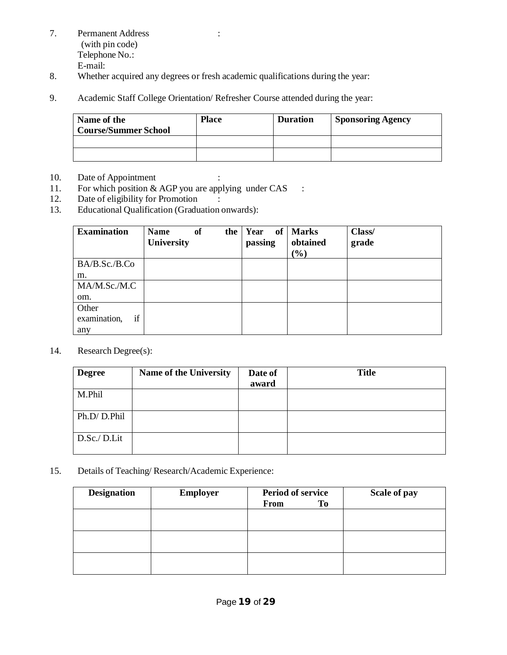- 7. Permanent Address : (with pin code) Telephone No.: E-mail:
- 8. Whether acquired any degrees or fresh academic qualifications during the year:
- 9. Academic Staff College Orientation/ Refresher Course attended during the year:

| Name of the<br><b>Course/Summer School</b> | <b>Place</b> | <b>Duration</b> | <b>Sponsoring Agency</b> |
|--------------------------------------------|--------------|-----------------|--------------------------|
|                                            |              |                 |                          |
|                                            |              |                 |                          |

- 10. Date of Appointment :
- 11. For which position  $&$  AGP you are applying under CAS :
- 12. Date of eligibility for Promotion :<br>13. Educational Qualification (Graduation of
- Educational Qualification (Graduation onwards):

| <b>Examination</b> | Name<br>University | <sub>of</sub><br>the | Year of Marks<br>passing | obtained                     | Class/<br>grade |
|--------------------|--------------------|----------------------|--------------------------|------------------------------|-----------------|
|                    |                    |                      |                          | $\left( \frac{0}{0} \right)$ |                 |
| BA/B.Sc./B.Co      |                    |                      |                          |                              |                 |
| m.                 |                    |                      |                          |                              |                 |
| MA/M.Sc./M.C       |                    |                      |                          |                              |                 |
| om.                |                    |                      |                          |                              |                 |
| Other              |                    |                      |                          |                              |                 |
| if<br>examination, |                    |                      |                          |                              |                 |
| any                |                    |                      |                          |                              |                 |

14. Research Degree(s):

| <b>Degree</b> | Name of the University | Date of<br>award | <b>Title</b> |
|---------------|------------------------|------------------|--------------|
| M.Phil        |                        |                  |              |
| Ph.D/D.Phil   |                        |                  |              |
| D.Sc./D.Lit   |                        |                  |              |

15. Details of Teaching/ Research/Academic Experience:

| <b>Designation</b> | <b>Employer</b> | <b>Period of service</b><br>To<br>From | Scale of pay |
|--------------------|-----------------|----------------------------------------|--------------|
|                    |                 |                                        |              |
|                    |                 |                                        |              |
|                    |                 |                                        |              |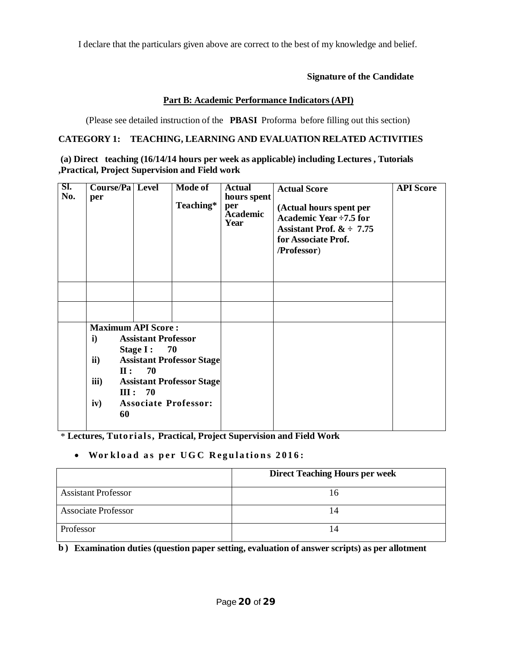I declare that the particulars given above are correct to the best of my knowledge and belief.

#### **Signature of the Candidate**

#### **Part B: Academic Performance Indicators (API)**

(Please see detailed instruction of the **PBASI** Proforma before filling out this section)

# **CATEGORY 1: TEACHING, LEARNING AND EVALUATION RELATED ACTIVITIES**

| (a) Direct teaching (16/14/14 hours per week as applicable) including Lectures, Tutorials |
|-------------------------------------------------------------------------------------------|
| Practical, Project Supervision and Field work,                                            |

| SI.<br>No. | Course/Pa Level<br>per    |                                                  | <b>Mode of</b><br>Teaching*      | <b>Actual</b><br>hours spent<br>per<br><b>Academic</b><br>Year | <b>Actual Score</b><br>(Actual hours spent per<br>Academic Year ÷7.5 for<br>Assistant Prof. $\&$ $\div$ 7.75<br>for Associate Prof.<br>/Professor) | <b>API</b> Score |
|------------|---------------------------|--------------------------------------------------|----------------------------------|----------------------------------------------------------------|----------------------------------------------------------------------------------------------------------------------------------------------------|------------------|
|            |                           |                                                  |                                  |                                                                |                                                                                                                                                    |                  |
|            |                           |                                                  |                                  |                                                                |                                                                                                                                                    |                  |
|            | <b>Maximum API Score:</b> |                                                  |                                  |                                                                |                                                                                                                                                    |                  |
|            | $\mathbf{i}$              | <b>Assistant Professor</b><br>Stage $I:$<br>- 70 |                                  |                                                                |                                                                                                                                                    |                  |
|            | $\mathbf{ii}$             |                                                  | <b>Assistant Professor Stage</b> |                                                                |                                                                                                                                                    |                  |
|            | $\mathbf{II}$ :           | 70                                               |                                  |                                                                |                                                                                                                                                    |                  |
|            | iii)                      | III: 70                                          | <b>Assistant Professor Stage</b> |                                                                |                                                                                                                                                    |                  |
|            | iv)                       |                                                  | <b>Associate Professor:</b>      |                                                                |                                                                                                                                                    |                  |
|            | 60                        |                                                  |                                  |                                                                |                                                                                                                                                    |                  |

\* **Lectures, Tuto rials, Practical, Project Supervision and Field Work**

#### **Wor k l o a d a s p e r UG C R e g u l a ti o n s 2 0 1 6 :**

|                            | <b>Direct Teaching Hours per week</b> |
|----------------------------|---------------------------------------|
| <b>Assistant Professor</b> |                                       |
| <b>Associate Professor</b> | 14                                    |
| Professor                  |                                       |

**b ) Examination duties (question paper setting, evaluation of answer scripts) as per allotment**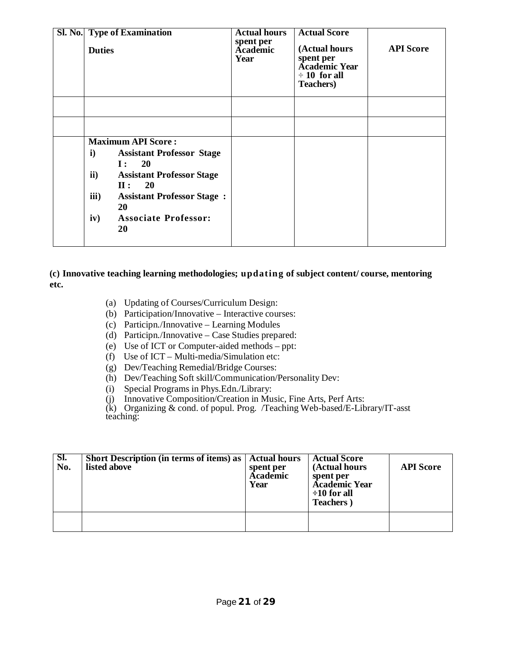| <b>Sl. No.</b> Type of Examination<br><b>Duties</b>                                                                                                                                                                                                                                              | <b>Actual hours</b><br>spent per<br><b>Academic</b><br>Year | <b>Actual Score</b><br>(Actual hours<br>spent per<br><b>Academic Year</b><br>$\div 10$ for all<br><b>Teachers</b> ) | <b>API Score</b> |
|--------------------------------------------------------------------------------------------------------------------------------------------------------------------------------------------------------------------------------------------------------------------------------------------------|-------------------------------------------------------------|---------------------------------------------------------------------------------------------------------------------|------------------|
|                                                                                                                                                                                                                                                                                                  |                                                             |                                                                                                                     |                  |
|                                                                                                                                                                                                                                                                                                  |                                                             |                                                                                                                     |                  |
| <b>Maximum API Score:</b><br>$\mathbf{i}$<br><b>Assistant Professor Stage</b><br><b>20</b><br>$\mathbf{I}$ :<br>$\mathbf{ii}$<br><b>Assistant Professor Stage</b><br><b>20</b><br>$\mathbf{II}$ :<br>iii)<br><b>Assistant Professor Stage:</b><br>20<br><b>Associate Professor:</b><br>iv)<br>20 |                                                             |                                                                                                                     |                  |

#### **(c) Innovative teaching learning methodologies; updating of subject content/ course, mentoring etc.**

- (a) Updating of Courses/Curriculum Design:
- (b) Participation/Innovative Interactive courses:
- (c) Participn./Innovative Learning Modules
- (d) Participn./Innovative Case Studies prepared:
- (e) Use of ICT or Computer-aided methods ppt:
- (f) Use of ICT Multi-media/Simulation etc:
- (g) Dev/Teaching Remedial/Bridge Courses:
- (h) Dev/Teaching Soft skill/Communication/Personality Dev:
- (i) Special Programs in Phys.Edn./Library:
- (j) Innovative Composition/Creation in Music, Fine Arts, Perf Arts:

(k) Organizing & cond. of popul. Prog. /Teaching Web-based/E-Library/IT-asst teaching:

| SI.<br>No. | <b>Short Description (in terms of items) as   Actual hours</b><br>listed above | spent per<br>Academic<br>Year | <b>Actual Score</b><br>(Actual hours<br>spent per<br><b>Academic Year</b><br>$\div 10$ for all<br><b>Teachers</b> ) | <b>API</b> Score |
|------------|--------------------------------------------------------------------------------|-------------------------------|---------------------------------------------------------------------------------------------------------------------|------------------|
|            |                                                                                |                               |                                                                                                                     |                  |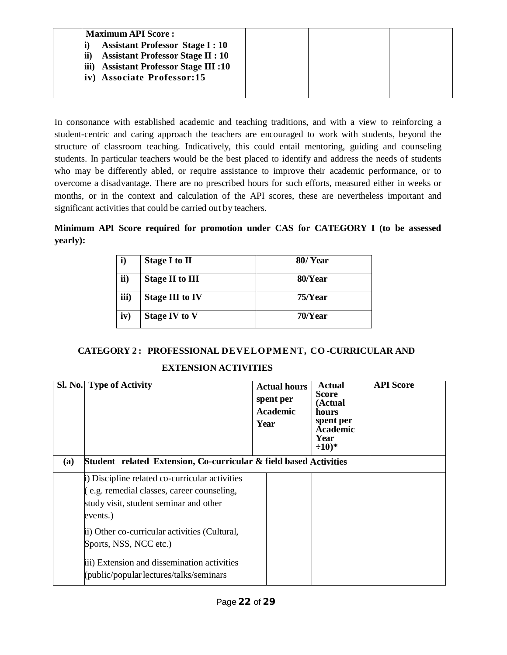| <b>Maximum API Score:</b>                                |  |  |
|----------------------------------------------------------|--|--|
| <b>Assistant Professor Stage I: 10</b>                   |  |  |
| $\mathbf{ii}$<br><b>Assistant Professor Stage II: 10</b> |  |  |
| iii)<br><b>Assistant Professor Stage III:10</b>          |  |  |
| iv) Associate Professor:15                               |  |  |

In consonance with established academic and teaching traditions, and with a view to reinforcing a student-centric and caring approach the teachers are encouraged to work with students, beyond the structure of classroom teaching. Indicatively, this could entail mentoring, guiding and counseling students. In particular teachers would be the best placed to identify and address the needs of students who may be differently abled, or require assistance to improve their academic performance, or to overcome a disadvantage. There are no prescribed hours for such efforts, measured either in weeks or months, or in the context and calculation of the API scores, these are nevertheless important and significant activities that could be carried out by teachers.

**Minimum API Score required for promotion under CAS for CATEGORY I (to be assessed yearly):**

| i)   | Stage I to II          | 80/Year    |
|------|------------------------|------------|
| ii)  | <b>Stage II to III</b> | 80/Year    |
| iii) | <b>Stage III to IV</b> | $75$ /Year |
| iv)  | <b>Stage IV to V</b>   | $70$ /Year |

# **CATEGORY 2 : PROFESSIONAL DEVELOPMENT, CO -CURRICULAR AND**

#### **EXTENSION ACTIVITIES**

| (a) | <b>Sl. No.</b> Type of Activity<br>Student related Extension, Co-curricular & field based Activities                                               | Year | <b>Actual hours</b><br>spent per<br><b>Academic</b> | Actual<br><b>Score</b><br>(Actual<br>hours<br>spent per<br><b>Academic</b><br>Year<br>$\div 10$ <sup>*</sup> | <b>API</b> Score |
|-----|----------------------------------------------------------------------------------------------------------------------------------------------------|------|-----------------------------------------------------|--------------------------------------------------------------------------------------------------------------|------------------|
|     | i) Discipline related co-curricular activities<br>(e.g. remedial classes, career counseling,<br>study visit, student seminar and other<br>events.) |      |                                                     |                                                                                                              |                  |
|     | ii) Other co-curricular activities (Cultural,<br>Sports, NSS, NCC etc.)                                                                            |      |                                                     |                                                                                                              |                  |
|     | iii) Extension and dissemination activities<br>(public/popular lectures/talks/seminars                                                             |      |                                                     |                                                                                                              |                  |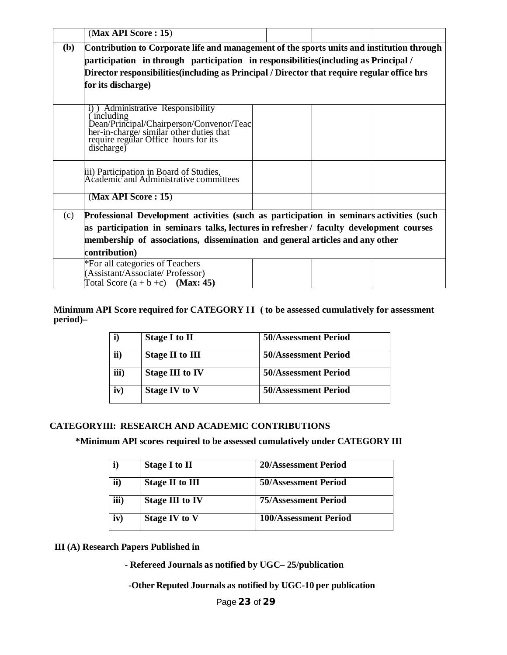| (Max API Score: 15)     |                                                                                                                                                                                    |  |  |
|-------------------------|------------------------------------------------------------------------------------------------------------------------------------------------------------------------------------|--|--|
| ( <b>b</b> )            | Contribution to Corporate life and management of the sports units and institution through                                                                                          |  |  |
|                         | participation in through participation in responsibilities (including as Principal /                                                                                               |  |  |
|                         | Director responsibilities (including as Principal / Director that require regular office hrs                                                                                       |  |  |
| for its discharge)      |                                                                                                                                                                                    |  |  |
|                         |                                                                                                                                                                                    |  |  |
| including<br>discharge) | <b>Administrative Responsibility</b><br>Dean/Principal/Chairperson/Convenor/Teacher-in-charge/similar other duties that<br>require regular Office hours for its                    |  |  |
|                         | iii) Participation in Board of Studies,<br>Academic and Administrative committees                                                                                                  |  |  |
| (Max API Score: 15)     |                                                                                                                                                                                    |  |  |
| (c)                     | Professional Development activities (such as participation in seminars activities (such<br>as participation in seminars talks, lectures in refresher / faculty development courses |  |  |
|                         | membership of associations, dissemination and general articles and any other                                                                                                       |  |  |
| contribution)           |                                                                                                                                                                                    |  |  |
|                         | *For all categories of Teachers                                                                                                                                                    |  |  |
|                         | (Assistant/Associate/ Professor)                                                                                                                                                   |  |  |
|                         | Total Score $(a + b + c)$ (Max: 45)                                                                                                                                                |  |  |

#### **Minimum API Score required for CATEGORY II ( to be assessed cumulatively for assessment period)–**

| i)            | <b>Stage I to II</b>   | 50/Assessment Period        |
|---------------|------------------------|-----------------------------|
| $\mathbf{ii}$ | <b>Stage II to III</b> | <b>50/Assessment Period</b> |
| iii)          | <b>Stage III to IV</b> | <b>50/Assessment Period</b> |
| iv)           | <b>Stage IV to V</b>   | <b>50/Assessment Period</b> |

#### **CATEGORYIII: RESEARCH AND ACADEMIC CONTRIBUTIONS**

**\*Minimum API scores required to be assessed cumulatively under CATEGORY III**

| i)   | <b>Stage I to II</b>   | 20/Assessment Period        |
|------|------------------------|-----------------------------|
| ii)  | <b>Stage II to III</b> | <b>50/Assessment Period</b> |
| iii) | <b>Stage III to IV</b> | <b>75/Assessment Period</b> |
| iv)  | <b>Stage IV to V</b>   | 100/Assessment Period       |

## **III (A) Research Papers Published in**

- **Refereed Journals as notified by UGC– 25/publication**

**-Other Reputed Journals as notified by UGC-10 per publication**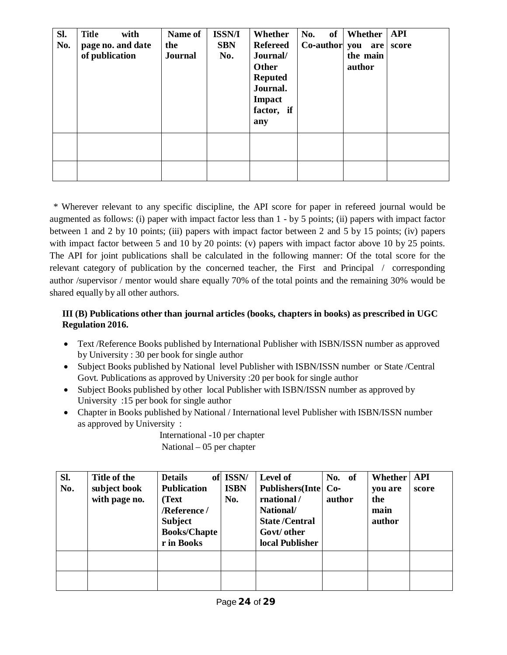| SI.<br>No. | <b>Title</b><br>with<br>page no. and date<br>of publication | Name of<br>the<br><b>Journal</b> | <b>ISSN/I</b><br><b>SBN</b><br>No. | Whether<br><b>Refereed</b><br>Journal/<br>Other<br><b>Reputed</b><br>Journal.<br>Impact<br>factor, if<br>any | of<br>No.<br>$Co$ -author you are | Whether   API<br>the main<br>author | score |
|------------|-------------------------------------------------------------|----------------------------------|------------------------------------|--------------------------------------------------------------------------------------------------------------|-----------------------------------|-------------------------------------|-------|
|            |                                                             |                                  |                                    |                                                                                                              |                                   |                                     |       |

\* Wherever relevant to any specific discipline, the API score for paper in refereed journal would be augmented as follows: (i) paper with impact factor less than 1 - by 5 points; (ii) papers with impact factor between 1 and 2 by 10 points; (iii) papers with impact factor between 2 and 5 by 15 points; (iv) papers with impact factor between 5 and 10 by 20 points: (v) papers with impact factor above 10 by 25 points. The API for joint publications shall be calculated in the following manner: Of the total score for the relevant category of publication by the concerned teacher, the First and Principal / corresponding author /supervisor / mentor would share equally 70% of the total points and the remaining 30% would be shared equally by all other authors.

# **III (B) Publications other than journal articles (books, chapters in books) as prescribed in UGC Regulation 2016.**

- Text /Reference Books published by International Publisher with ISBN/ISSN number as approved by University : 30 per book for single author
- Subject Books published by National level Publisher with ISBN/ISSN number or State /Central Govt. Publications as approved by University :20 per book for single author
- Subject Books published by other local Publisher with ISBN/ISSN number as approved by University :15 per book for single author
- Chapter in Books published by National / International level Publisher with ISBN/ISSN number as approved by University :

International -10 per chapter National – 05 per chapter

| SI.<br>No. | Title of the<br>subject book<br>with page no. | <b>Details</b><br><b>Publication</b><br>(Text)<br>/Reference/<br><b>Subject</b><br><b>Books/Chapte</b><br>r in Books | of ISSN/<br><b>ISBN</b><br>No. | Level of<br><b>Publishers</b> (Inte)<br>rnational/<br>National/<br><b>State/Central</b><br>Govt/ other<br>local Publisher | No. of<br>$Co-$<br>author | Whether<br>you are<br>the<br>main<br>author | <b>API</b><br>score |
|------------|-----------------------------------------------|----------------------------------------------------------------------------------------------------------------------|--------------------------------|---------------------------------------------------------------------------------------------------------------------------|---------------------------|---------------------------------------------|---------------------|
|            |                                               |                                                                                                                      |                                |                                                                                                                           |                           |                                             |                     |
|            |                                               |                                                                                                                      |                                |                                                                                                                           |                           |                                             |                     |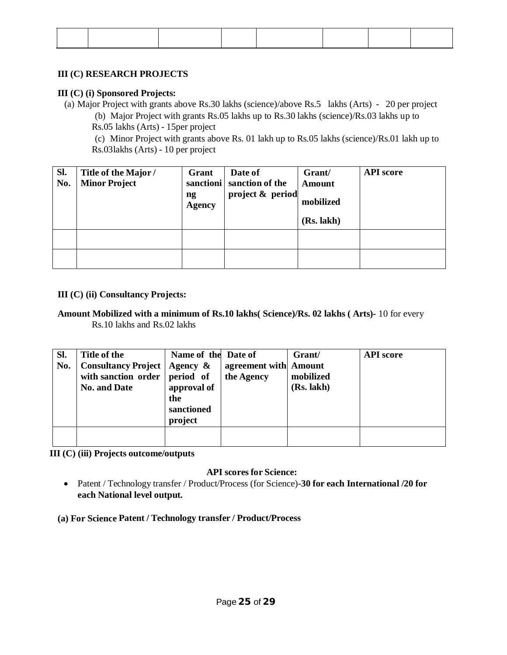## **III (C) RESEARCH PROJECTS**

## **III (C) (i) Sponsored Projects:**

(a) Major Project with grants above Rs.30 lakhs (science)/above Rs.5 lakhs (Arts) - 20 per project (b) Major Project with grants Rs.05 lakhs up to Rs.30 lakhs (science)/Rs.03 lakhs up to Rs.05 lakhs (Arts) - 15per project

(c) Minor Project with grants above Rs. 01 lakh up to Rs.05 lakhs (science)/Rs.01 lakh up to Rs.03lakhs (Arts) - 10 per project

| Sl. | Title of the Major / | Grant                                   | Date of                   | Grant/        | <b>API</b> score |
|-----|----------------------|-----------------------------------------|---------------------------|---------------|------------------|
| No. | <b>Minor Project</b> |                                         | sanctioni sanction of the | <b>Amount</b> |                  |
|     |                      | $\mathbf{n}\mathbf{g}$<br><b>Agency</b> | project & period          | mobilized     |                  |
|     |                      |                                         |                           | (Rs. lakh)    |                  |
|     |                      |                                         |                           |               |                  |
|     |                      |                                         |                           |               |                  |

## **III (C) (ii) Consultancy Projects:**

## **Amount Mobilized with a minimum of Rs.10 lakhs( Science)/Rs. 02 lakhs ( Arts)-** 10 for every Rs.10 lakhs and Rs.02 lakhs

| SI.<br>No. | Title of the<br><b>Consultancy Project</b><br>with sanction order period of<br><b>No. and Date</b> | Name of the Date of<br>Agency $\&$<br>approval of<br>the<br>sanctioned<br>project | agreement with Amount<br>the Agency | Grant/<br>mobilized<br>(Rs. lakh) | <b>API</b> score |
|------------|----------------------------------------------------------------------------------------------------|-----------------------------------------------------------------------------------|-------------------------------------|-----------------------------------|------------------|
|            |                                                                                                    |                                                                                   |                                     |                                   |                  |

**III (C) (iii) Projects outcome/outputs**

# **API scores for Science:**

 Patent / Technology transfer / Product/Process (for Science)-**30 for each International /20 for each National level output.**

**(a) For Science Patent / Technology transfer / Product/Process**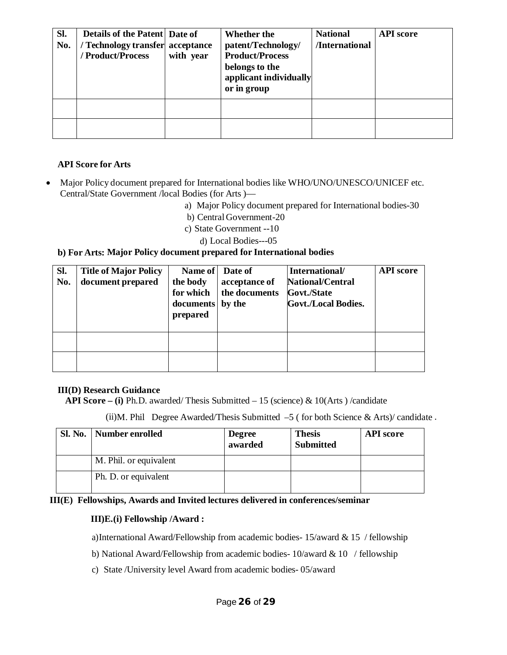| SI.<br>No. | Details of the Patent Date of<br>/ Technology transfer acceptance<br>/ Product/Process | with year | Whether the<br>patent/Technology/<br><b>Product/Process</b><br>belongs to the<br>applicant individually<br>or in group | <b>National</b><br>/International | <b>API</b> score |
|------------|----------------------------------------------------------------------------------------|-----------|------------------------------------------------------------------------------------------------------------------------|-----------------------------------|------------------|
|            |                                                                                        |           |                                                                                                                        |                                   |                  |
|            |                                                                                        |           |                                                                                                                        |                                   |                  |

## **API Score for Arts**

- Major Policy document prepared for International bodies like WHO/UNO/UNESCO/UNICEF etc. Central/State Government /local Bodies (for Arts )
	- a) Major Policy document prepared for International bodies-30
	- b) Central Government-20
	- c) State Government --10
		- d) Local Bodies---05

#### **b) For Arts: Major Policy document prepared for International bodies**

| SI.<br>No. | <b>Title of Major Policy</b><br>document prepared | Name of Date of<br>the body<br>for which<br>documents<br>prepared | acceptance of<br>the documents<br>by the | International/<br><b>National/Central</b><br>Govt./State<br><b>Govt./Local Bodies.</b> | <b>API</b> score |
|------------|---------------------------------------------------|-------------------------------------------------------------------|------------------------------------------|----------------------------------------------------------------------------------------|------------------|
|            |                                                   |                                                                   |                                          |                                                                                        |                  |
|            |                                                   |                                                                   |                                          |                                                                                        |                  |

#### **III(D) Research Guidance**

**API Score – (i)** Ph.D. awarded/ Thesis Submitted – 15 (science) & 10(Arts ) /candidate

(ii)M. Phil Degree Awarded/Thesis Submitted  $-5$  (for both Science & Arts)/ candidate.

| Sl. No.   Number enrolled | <b>Degree</b><br>awarded | <b>Thesis</b><br><b>Submitted</b> | <b>API</b> score |
|---------------------------|--------------------------|-----------------------------------|------------------|
| M. Phil. or equivalent    |                          |                                   |                  |
| Ph. D. or equivalent      |                          |                                   |                  |

**III(E) Fellowships, Awards and Invited lectures delivered in conferences/seminar**

#### **III)E.(i) Fellowship /Award :**

a)International Award/Fellowship from academic bodies- 15/award & 15 / fellowship

b) National Award/Fellowship from academic bodies- 10/award & 10 / fellowship

c) State /University level Award from academic bodies- 05/award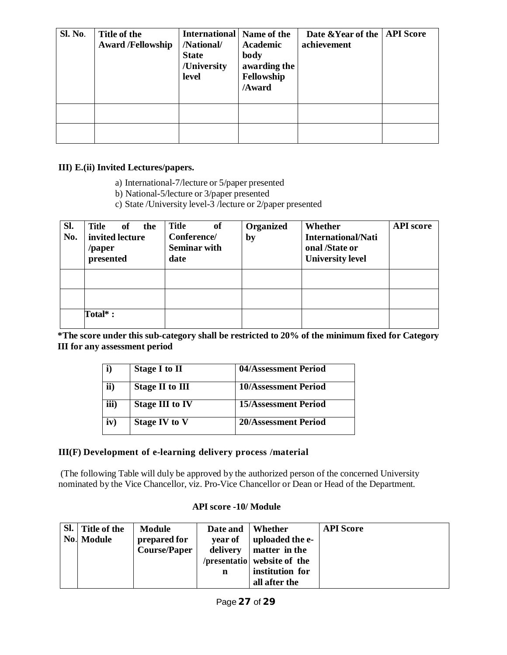| Sl. No. | Title of the<br><b>Award /Fellowship</b> | <b>International</b> Name of the<br>/National/<br><b>State</b><br>/University<br>level | <b>Academic</b><br>body<br>awarding the<br>Fellowship<br>/Award | Date & Year of the<br>achievement | <b>API</b> Score |
|---------|------------------------------------------|----------------------------------------------------------------------------------------|-----------------------------------------------------------------|-----------------------------------|------------------|
|         |                                          |                                                                                        |                                                                 |                                   |                  |
|         |                                          |                                                                                        |                                                                 |                                   |                  |

## **III) E.(ii) Invited Lectures/papers.**

- a) International-7/lecture or 5/paper presented
- b) National-5/lecture or 3/paper presented
- c) State /University level-3 /lecture or 2/paper presented

| SI.<br>No. | <b>Title</b><br>of<br>the<br>invited lecture<br>/paper<br>presented | Title<br>of<br>Conference/<br><b>Seminar with</b><br>date | Organized<br>by | Whether<br><b>International/Nati</b><br>onal /State or<br><b>University level</b> | <b>API</b> score |
|------------|---------------------------------------------------------------------|-----------------------------------------------------------|-----------------|-----------------------------------------------------------------------------------|------------------|
|            |                                                                     |                                                           |                 |                                                                                   |                  |
|            |                                                                     |                                                           |                 |                                                                                   |                  |
|            | Total*:                                                             |                                                           |                 |                                                                                   |                  |

**\*The score under this sub-category shall be restricted to 20% of the minimum fixed for Category III for any assessment period**

| <b>Stage I to II</b>   | 04/Assessment Period        |
|------------------------|-----------------------------|
| Stage II to III        | <b>10/Assessment Period</b> |
| <b>Stage III to IV</b> | <b>15/Assessment Period</b> |
| <b>Stage IV to V</b>   | 20/Assessment Period        |
|                        |                             |

#### **III(F) Development of e-learning delivery process /material**

(The following Table will duly be approved by the authorized person of the concerned University nominated by the Vice Chancellor, viz. Pro-Vice Chancellor or Dean or Head of the Department.

#### **API score -10/ Module**

| Sl. Title of the | Module              | Date and | Whether                     | <b>API</b> Score |
|------------------|---------------------|----------|-----------------------------|------------------|
| No. Module       | prepared for        | year of  | uploaded the e-             |                  |
|                  | <b>Course/Paper</b> | delivery | matter in the               |                  |
|                  |                     |          | /presentatio website of the |                  |
|                  |                     | n        | institution for             |                  |
|                  |                     |          | all after the               |                  |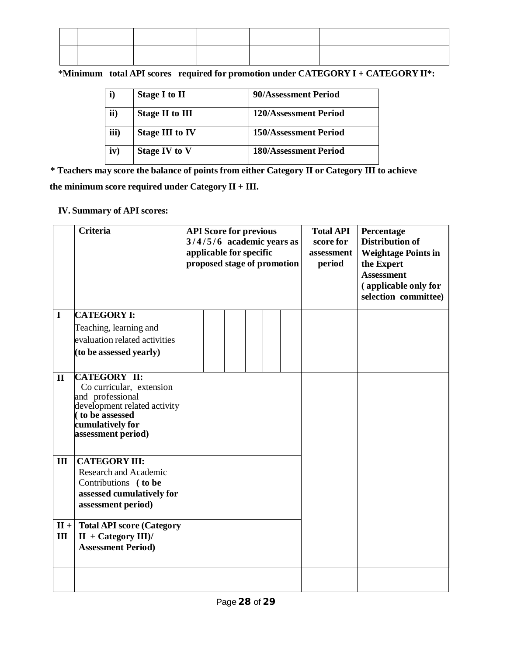\***Minimum total API scores required for promotion under CATEGORY I + CATEGORY II\*:**

| i)   | <b>Stage I to II</b>   | 90/Assessment Period         |
|------|------------------------|------------------------------|
| ii)  | <b>Stage II to III</b> | 120/Assessment Period        |
| iii) | <b>Stage III to IV</b> | <b>150/Assessment Period</b> |
| iv)  | <b>Stage IV to V</b>   | <b>180/Assessment Period</b> |

**\* Teachers may score the balance of points from either Category II or Category III to achieve the minimum score required under Category II + III.**

# **IV. Summary of API scores:**

|               | <b>Criteria</b>                                                                                                                                                 | <b>API Score for previous</b><br>$3/4/5/6$ academic years as<br>applicable for specific<br>proposed stage of promotion |  |  |  |  | <b>Total API</b><br>score for<br>assessment<br>period | Percentage<br><b>Distribution of</b><br><b>Weightage Points in</b><br>the Expert<br><b>Assessment</b><br>(applicable only for<br>selection committee) |
|---------------|-----------------------------------------------------------------------------------------------------------------------------------------------------------------|------------------------------------------------------------------------------------------------------------------------|--|--|--|--|-------------------------------------------------------|-------------------------------------------------------------------------------------------------------------------------------------------------------|
| $\bf{I}$      | <b>CATEGORY I:</b><br>Teaching, learning and                                                                                                                    |                                                                                                                        |  |  |  |  |                                                       |                                                                                                                                                       |
|               | evaluation related activities                                                                                                                                   |                                                                                                                        |  |  |  |  |                                                       |                                                                                                                                                       |
|               | (to be assessed yearly)                                                                                                                                         |                                                                                                                        |  |  |  |  |                                                       |                                                                                                                                                       |
| $\mathbf{I}$  | <b>CATEGORY II:</b><br>Co curricular, extension<br>and professional<br>development related activity<br>to be assessed<br>cumulatively for<br>assessment period) |                                                                                                                        |  |  |  |  |                                                       |                                                                                                                                                       |
| III           | <b>CATEGORY III:</b><br><b>Research and Academic</b><br>Contributions (to be<br>assessed cumulatively for<br>assessment period)                                 |                                                                                                                        |  |  |  |  |                                                       |                                                                                                                                                       |
| $II +$<br>III | <b>Total API score (Category</b><br>$II + Category III$<br><b>Assessment Period)</b>                                                                            |                                                                                                                        |  |  |  |  |                                                       |                                                                                                                                                       |
|               |                                                                                                                                                                 |                                                                                                                        |  |  |  |  |                                                       |                                                                                                                                                       |